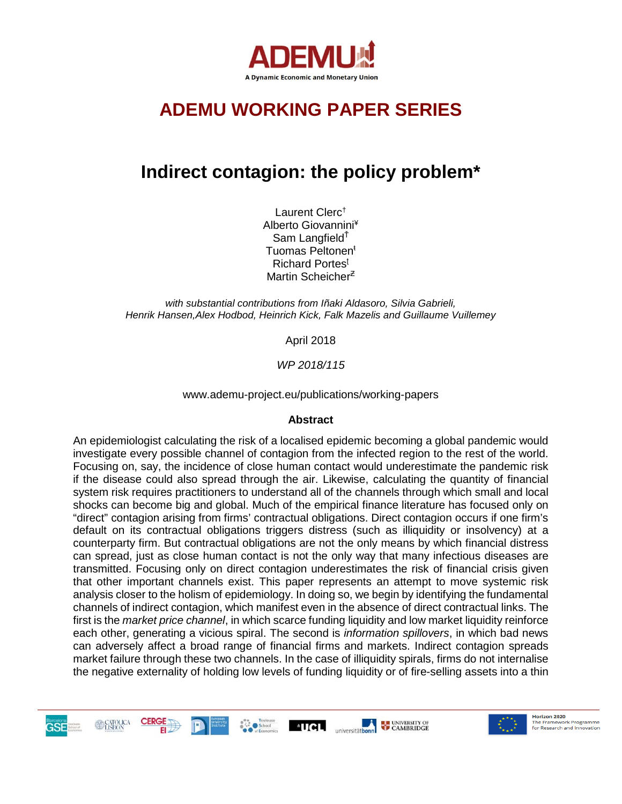

# **ADEMU WORKING PAPER SERIES**

# **Indirect contagion: the policy problem\***

Laurent Clerc† Alberto Giovannini¥ Sam Langfield<sup>Ť</sup> Tuomas Peltonen<sup>ŧ</sup> Richard Portes<sup>ʈ</sup> Martin Scheicher<sup>z</sup>

*with substantial contributions from Iñaki Aldasoro, Silvia Gabrieli, Henrik Hansen,Alex Hodbod, Heinrich Kick, Falk Mazelis and Guillaume Vuillemey*

April 2018

*WP 2018/115*

www.ademu-project.eu/publications/working-papers

#### **Abstract**

An epidemiologist calculating the risk of a localised epidemic becoming a global pandemic would investigate every possible channel of contagion from the infected region to the rest of the world. Focusing on, say, the incidence of close human contact would underestimate the pandemic risk if the disease could also spread through the air. Likewise, calculating the quantity of financial system risk requires practitioners to understand all of the channels through which small and local shocks can become big and global. Much of the empirical finance literature has focused only on "direct" contagion arising from firms' contractual obligations. Direct contagion occurs if one firm's default on its contractual obligations triggers distress (such as illiquidity or insolvency) at a counterparty firm. But contractual obligations are not the only means by which financial distress can spread, just as close human contact is not the only way that many infectious diseases are transmitted. Focusing only on direct contagion underestimates the risk of financial crisis given that other important channels exist. This paper represents an attempt to move systemic risk analysis closer to the holism of epidemiology. In doing so, we begin by identifying the fundamental channels of indirect contagion, which manifest even in the absence of direct contractual links. The first is the *market price channel*, in which scarce funding liquidity and low market liquidity reinforce each other, generating a vicious spiral. The second is *information spillovers*, in which bad news can adversely affect a broad range of financial firms and markets. Indirect contagion spreads market failure through these two channels. In the case of illiquidity spirals, firms do not internalise the negative externality of holding low levels of funding liquidity or of fire-selling assets into a thin







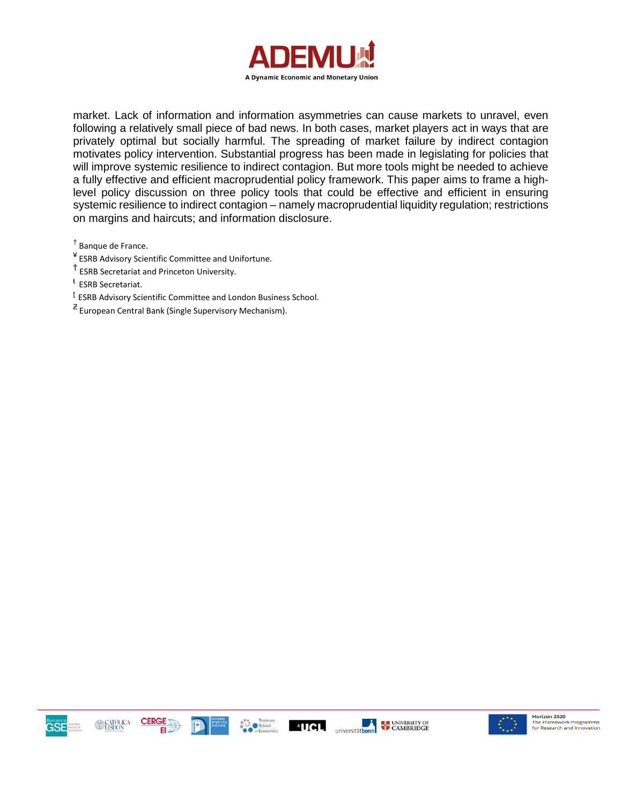

market. Lack of information and information asymmetries can cause markets to unravel, even following a relatively small piece of bad news. In both cases, market players act in ways that are privately optimal but socially harmful. The spreading of market failure by indirect contagion motivates policy intervention. Substantial progress has been made in legislating for policies that will improve systemic resilience to indirect contagion. But more tools might be needed to achieve a fully effective and efficient macroprudential policy framework. This paper aims to frame a highlevel policy discussion on three policy tools that could be effective and efficient in ensuring systemic resilience to indirect contagion – namely macroprudential liquidity regulation; restrictions on margins and haircuts; and information disclosure.

† Banque de France.

¥ ESRB Advisory Scientific Committee and Unifortune.

<sup>Ť</sup> ESRB Secretariat and Princeton University.

<sup>ŧ</sup> ESRB Secretariat.

<sup>ʈ</sup> ESRB Advisory Scientific Committee and London Business School.

 $z$  European Central Bank (Single Supervisory Mechanism).









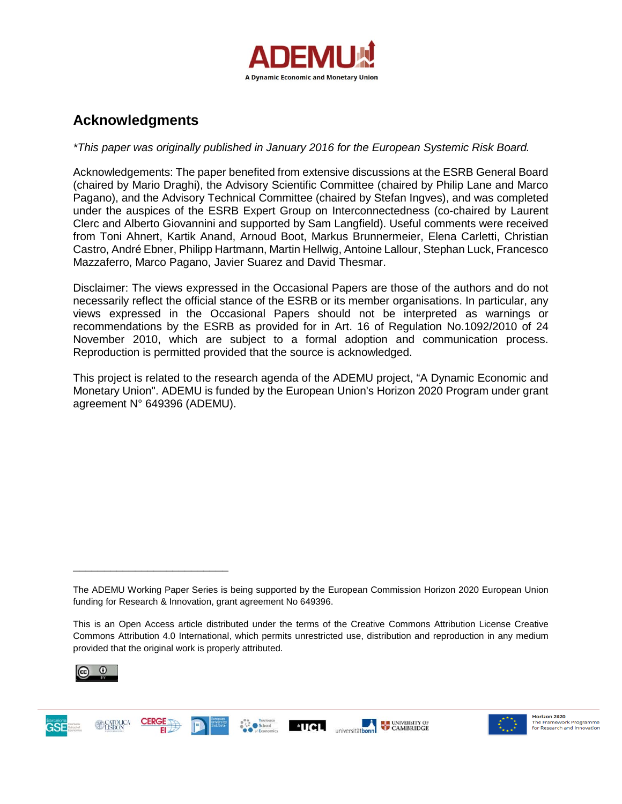

## **Acknowledgments**

#### *\*This paper was originally published in January 2016 for the European Systemic Risk Board.*

Acknowledgements: The paper benefited from extensive discussions at the ESRB General Board (chaired by Mario Draghi), the Advisory Scientific Committee (chaired by Philip Lane and Marco Pagano), and the Advisory Technical Committee (chaired by Stefan Ingves), and was completed under the auspices of the ESRB Expert Group on Interconnectedness (co-chaired by Laurent Clerc and Alberto Giovannini and supported by Sam Langfield). Useful comments were received from Toni Ahnert, Kartik Anand, Arnoud Boot, Markus Brunnermeier, Elena Carletti, Christian Castro, André Ebner, Philipp Hartmann, Martin Hellwig, Antoine Lallour, Stephan Luck, Francesco Mazzaferro, Marco Pagano, Javier Suarez and David Thesmar.

Disclaimer: The views expressed in the Occasional Papers are those of the authors and do not necessarily reflect the official stance of the ESRB or its member organisations. In particular, any views expressed in the Occasional Papers should not be interpreted as warnings or recommendations by the ESRB as provided for in Art. 16 of Regulation No.1092/2010 of 24 November 2010, which are subject to a formal adoption and communication process. Reproduction is permitted provided that the source is acknowledged.

This project is related to the research agenda of the ADEMU project, "A Dynamic Economic and Monetary Union". ADEMU is funded by the European Union's Horizon 2020 Program under grant agreement N° 649396 (ADEMU).

This is an Open Access article distributed under the terms of the Creative Commons Attribution License Creative Commons Attribution 4.0 International, which permits unrestricted use, distribution and reproduction in any medium provided that the original work is properly attributed.



\_\_\_\_\_\_\_\_\_\_\_\_\_\_\_\_\_\_\_\_\_\_\_\_\_







The ADEMU Working Paper Series is being supported by the European Commission Horizon 2020 European Union funding for Research & Innovation, grant agreement No 649396.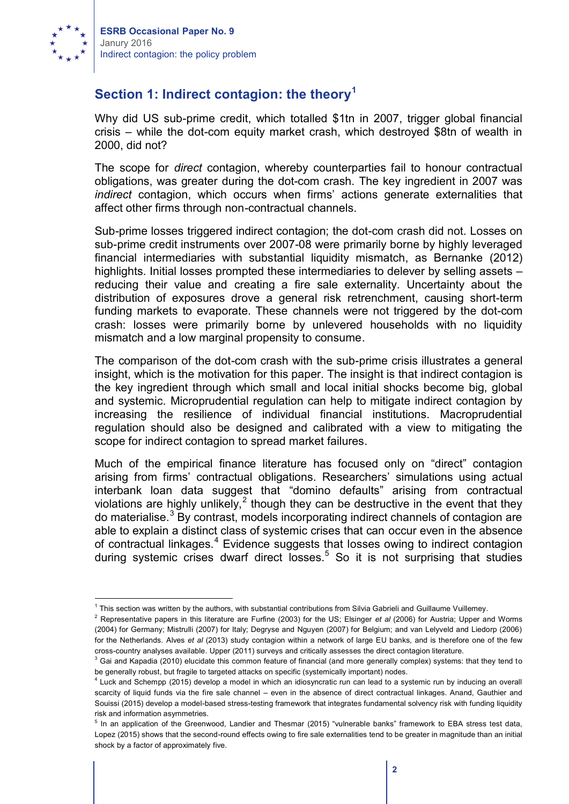

# **Section 1: Indirect contagion: the theory<sup>1</sup>**

Why did US sub-prime credit, which totalled \$1tn in 2007, trigger global financial crisis – while the dot-com equity market crash, which destroyed \$8tn of wealth in 2000, did not?

The scope for *direct* contagion, whereby counterparties fail to honour contractual obligations, was greater during the dot-com crash. The key ingredient in 2007 was *indirect* contagion, which occurs when firms' actions generate externalities that affect other firms through non-contractual channels.

Sub-prime losses triggered indirect contagion; the dot-com crash did not. Losses on sub-prime credit instruments over 2007-08 were primarily borne by highly leveraged financial intermediaries with substantial liquidity mismatch, as Bernanke (2012) highlights. Initial losses prompted these intermediaries to delever by selling assets – reducing their value and creating a fire sale externality. Uncertainty about the distribution of exposures drove a general risk retrenchment, causing short-term funding markets to evaporate. These channels were not triggered by the dot-com crash: losses were primarily borne by unlevered households with no liquidity mismatch and a low marginal propensity to consume.

The comparison of the dot-com crash with the sub-prime crisis illustrates a general insight, which is the motivation for this paper. The insight is that indirect contagion is the key ingredient through which small and local initial shocks become big, global and systemic. Microprudential regulation can help to mitigate indirect contagion by increasing the resilience of individual financial institutions. Macroprudential regulation should also be designed and calibrated with a view to mitigating the scope for indirect contagion to spread market failures.

Much of the empirical finance literature has focused only on "direct" contagion arising from firms' contractual obligations. Researchers' simulations using actual interbank loan data suggest that "domino defaults" arising from contractual violations are highly unlikely,<sup>2</sup> though they can be destructive in the event that they do materialise.<sup>3</sup> By contrast, models incorporating indirect channels of contagion are able to explain a distinct class of systemic crises that can occur even in the absence of contractual linkages.<sup>4</sup> Evidence suggests that losses owing to indirect contagion during systemic crises dwarf direct losses.<sup>5</sup> So it is not surprising that studies

<sup>&</sup>lt;sup>1</sup> This section was written by the authors, with substantial contributions from Silvia Gabrieli and Guillaume Vuillemey.

<sup>2</sup> Representative papers in this literature are Furfine (2003) for the US; Elsinger *et al* (2006) for Austria; Upper and Worms (2004) for Germany; Mistrulli (2007) for Italy; Degryse and Nguyen (2007) for Belgium; and van Lelyveld and Liedorp (2006) for the Netherlands. Alves *et al* (2013) study contagion within a network of large EU banks, and is therefore one of the few cross-country analyses available. Upper (2011) surveys and critically assesses the direct contagion literature.

<sup>&</sup>lt;sup>3</sup> Gai and Kapadia (2010) elucidate this common feature of financial (and more generally complex) systems: that they tend to be generally robust, but fragile to targeted attacks on specific (systemically important) nodes.

<sup>4</sup> Luck and Schempp (2015) develop a model in which an idiosyncratic run can lead to a systemic run by inducing an overall scarcity of liquid funds via the fire sale channel – even in the absence of direct contractual linkages. Anand, Gauthier and Souissi (2015) develop a model-based stress-testing framework that integrates fundamental solvency risk with funding liquidity risk and information asymmetries.

<sup>&</sup>lt;sup>5</sup> In an application of the Greenwood, Landier and Thesmar (2015) "vulnerable banks" framework to EBA stress test data, Lopez (2015) shows that the second-round effects owing to fire sale externalities tend to be greater in magnitude than an initial shock by a factor of approximately five.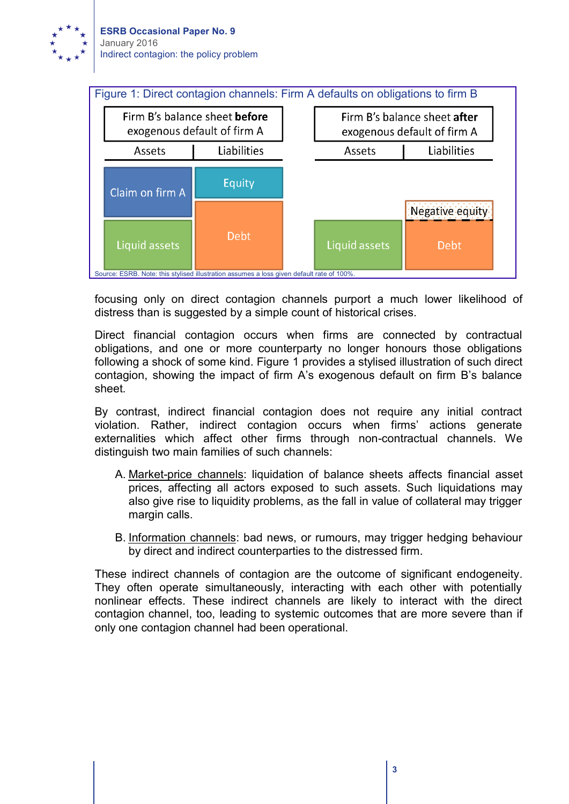



focusing only on direct contagion channels purport a much lower likelihood of distress than is suggested by a simple count of historical crises.

Direct financial contagion occurs when firms are connected by contractual obligations, and one or more counterparty no longer honours those obligations following a shock of some kind. Figure 1 provides a stylised illustration of such direct contagion, showing the impact of firm A's exogenous default on firm B's balance sheet.

By contrast, indirect financial contagion does not require any initial contract violation. Rather, indirect contagion occurs when firms' actions generate externalities which affect other firms through non-contractual channels. We distinguish two main families of such channels:

- A. Market-price channels: liquidation of balance sheets affects financial asset prices, affecting all actors exposed to such assets. Such liquidations may also give rise to liquidity problems, as the fall in value of collateral may trigger margin calls.
- B. Information channels: bad news, or rumours, may trigger hedging behaviour by direct and indirect counterparties to the distressed firm.

These indirect channels of contagion are the outcome of significant endogeneity. They often operate simultaneously, interacting with each other with potentially nonlinear effects. These indirect channels are likely to interact with the direct contagion channel, too, leading to systemic outcomes that are more severe than if only one contagion channel had been operational.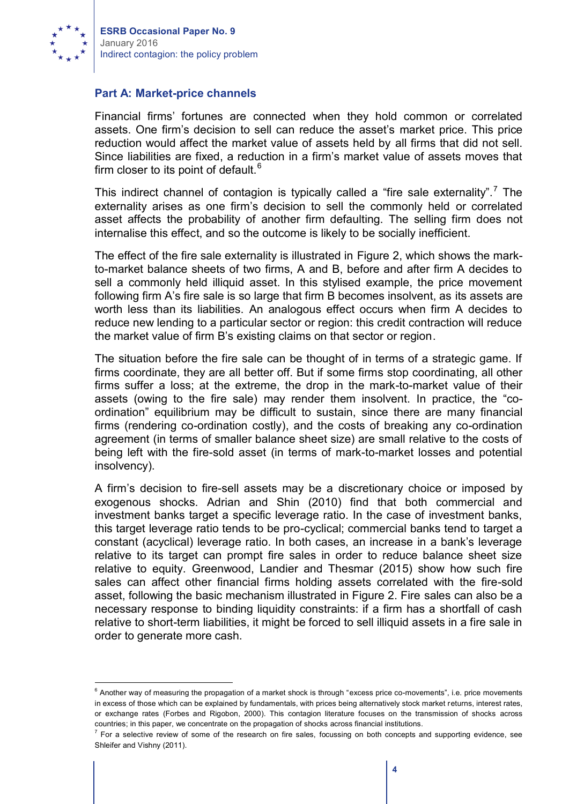

#### **Part A: Market-price channels**

Financial firms' fortunes are connected when they hold common or correlated assets. One firm's decision to sell can reduce the asset's market price. This price reduction would affect the market value of assets held by all firms that did not sell. Since liabilities are fixed, a reduction in a firm's market value of assets moves that firm closer to its point of default. $6$ 

This indirect channel of contagion is typically called a "fire sale externality".<sup>7</sup> The externality arises as one firm's decision to sell the commonly held or correlated asset affects the probability of another firm defaulting. The selling firm does not internalise this effect, and so the outcome is likely to be socially inefficient.

The effect of the fire sale externality is illustrated in Figure 2, which shows the markto-market balance sheets of two firms, A and B, before and after firm A decides to sell a commonly held illiquid asset. In this stylised example, the price movement following firm A's fire sale is so large that firm B becomes insolvent, as its assets are worth less than its liabilities. An analogous effect occurs when firm A decides to reduce new lending to a particular sector or region: this credit contraction will reduce the market value of firm B's existing claims on that sector or region.

The situation before the fire sale can be thought of in terms of a strategic game. If firms coordinate, they are all better off. But if some firms stop coordinating, all other firms suffer a loss; at the extreme, the drop in the mark-to-market value of their assets (owing to the fire sale) may render them insolvent. In practice, the "coordination" equilibrium may be difficult to sustain, since there are many financial firms (rendering co-ordination costly), and the costs of breaking any co-ordination agreement (in terms of smaller balance sheet size) are small relative to the costs of being left with the fire-sold asset (in terms of mark-to-market losses and potential insolvency).

A firm's decision to fire-sell assets may be a discretionary choice or imposed by exogenous shocks. Adrian and Shin (2010) find that both commercial and investment banks target a specific leverage ratio. In the case of investment banks, this target leverage ratio tends to be pro-cyclical; commercial banks tend to target a constant (acyclical) leverage ratio. In both cases, an increase in a bank's leverage relative to its target can prompt fire sales in order to reduce balance sheet size relative to equity. Greenwood, Landier and Thesmar (2015) show how such fire sales can affect other financial firms holding assets correlated with the fire-sold asset, following the basic mechanism illustrated in Figure 2. Fire sales can also be a necessary response to binding liquidity constraints: if a firm has a shortfall of cash relative to short-term liabilities, it might be forced to sell illiquid assets in a fire sale in order to generate more cash.

<sup>&</sup>lt;sup>6</sup> Another way of measuring the propagation of a market shock is through "excess price co-movements", i.e. price movements in excess of those which can be explained by fundamentals, with prices being alternatively stock market returns, interest rates, or exchange rates (Forbes and Rigobon, 2000). This contagion literature focuses on the transmission of shocks across countries; in this paper, we concentrate on the propagation of shocks across financial institutions.

 $^7$  For a selective review of some of the research on fire sales, focussing on both concepts and supporting evidence, see Shleifer and Vishny (2011).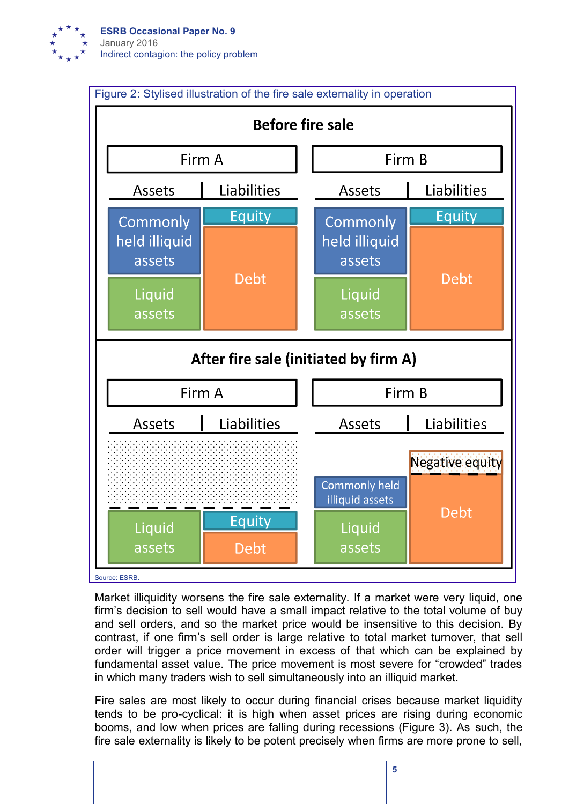



Market illiquidity worsens the fire sale externality. If a market were very liquid, one firm's decision to sell would have a small impact relative to the total volume of buy and sell orders, and so the market price would be insensitive to this decision. By contrast, if one firm's sell order is large relative to total market turnover, that sell order will trigger a price movement in excess of that which can be explained by fundamental asset value. The price movement is most severe for "crowded" trades in which many traders wish to sell simultaneously into an illiquid market.

Fire sales are most likely to occur during financial crises because market liquidity tends to be pro-cyclical: it is high when asset prices are rising during economic booms, and low when prices are falling during recessions (Figure 3). As such, the fire sale externality is likely to be potent precisely when firms are more prone to sell,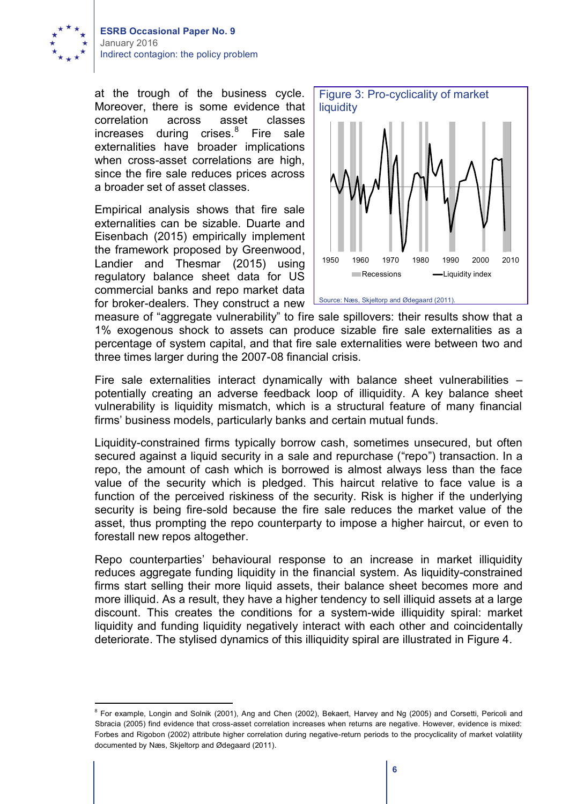

at the trough of the business cycle. Moreover, there is some evidence that correlation across asset classes increases during crises.<sup>8</sup> Fire sale externalities have broader implications when cross-asset correlations are high, since the fire sale reduces prices across a broader set of asset classes.

Empirical analysis shows that fire sale externalities can be sizable. Duarte and Eisenbach (2015) empirically implement the framework proposed by Greenwood, Landier and Thesmar (2015) using regulatory balance sheet data for US commercial banks and repo market data for broker-dealers. They construct a new



measure of "aggregate vulnerability" to fire sale spillovers: their results show that a 1% exogenous shock to assets can produce sizable fire sale externalities as a percentage of system capital, and that fire sale externalities were between two and three times larger during the 2007-08 financial crisis.

Fire sale externalities interact dynamically with balance sheet vulnerabilities – potentially creating an adverse feedback loop of illiquidity. A key balance sheet vulnerability is liquidity mismatch, which is a structural feature of many financial firms' business models, particularly banks and certain mutual funds.

Liquidity-constrained firms typically borrow cash, sometimes unsecured, but often secured against a liquid security in a sale and repurchase ("repo") transaction. In a repo, the amount of cash which is borrowed is almost always less than the face value of the security which is pledged. This haircut relative to face value is a function of the perceived riskiness of the security. Risk is higher if the underlying security is being fire-sold because the fire sale reduces the market value of the asset, thus prompting the repo counterparty to impose a higher haircut, or even to forestall new repos altogether.

Repo counterparties' behavioural response to an increase in market illiquidity reduces aggregate funding liquidity in the financial system. As liquidity-constrained firms start selling their more liquid assets, their balance sheet becomes more and more illiquid. As a result, they have a higher tendency to sell illiquid assets at a large discount. This creates the conditions for a system-wide illiquidity spiral: market liquidity and funding liquidity negatively interact with each other and coincidentally deteriorate. The stylised dynamics of this illiquidity spiral are illustrated in Figure 4.

<sup>&</sup>lt;sup>8</sup> For example, Longin and Solnik (2001), Ang and Chen (2002), Bekaert, Harvey and Ng (2005) and Corsetti, Pericoli and Sbracia (2005) find evidence that cross-asset correlation increases when returns are negative. However, evidence is mixed: Forbes and Rigobon (2002) attribute higher correlation during negative-return periods to the procyclicality of market volatility documented by Næs, Skjeltorp and Ødegaard (2011).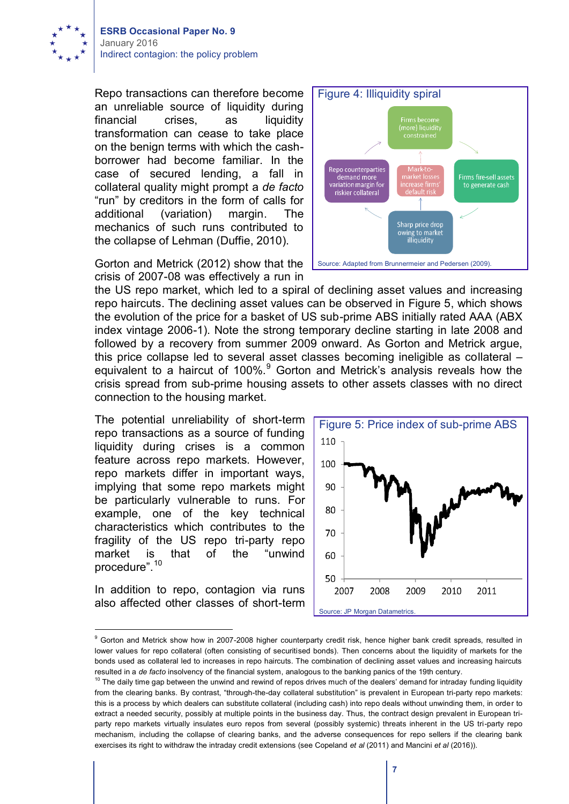

Repo transactions can therefore become an unreliable source of liquidity during financial crises, as liquidity transformation can cease to take place on the benign terms with which the cashborrower had become familiar. In the case of secured lending, a fall in collateral quality might prompt a *de facto* "run" by creditors in the form of calls for additional (variation) margin. The mechanics of such runs contributed to the collapse of Lehman (Duffie, 2010).

Gorton and Metrick (2012) show that the crisis of 2007-08 was effectively a run in

the US repo market, which led to a spiral of declining asset values and increasing repo haircuts. The declining asset values can be observed in Figure 5, which shows the evolution of the price for a basket of US sub-prime ABS initially rated AAA (ABX index vintage 2006-1). Note the strong temporary decline starting in late 2008 and followed by a recovery from summer 2009 onward. As Gorton and Metrick argue, this price collapse led to several asset classes becoming ineligible as collateral – equivalent to a haircut of 100%.<sup>9</sup> Gorton and Metrick's analysis reveals how the crisis spread from sub-prime housing assets to other assets classes with no direct connection to the housing market.

The potential unreliability of short-term repo transactions as a source of funding liquidity during crises is a common feature across repo markets. However, repo markets differ in important ways, implying that some repo markets might be particularly vulnerable to runs. For example, one of the key technical characteristics which contributes to the fragility of the US repo tri-party repo market is that of the "unwind procedure".<sup>10</sup>

In addition to repo, contagion via runs also affected other classes of short-term



Figure 5: Price index of sub-prime ABS 110 100 90 80 70 60 50 2007 2008 2009 2010 2011 Source: JP Morgan Datametrics

<sup>&</sup>lt;sup>9</sup> Gorton and Metrick show how in 2007-2008 higher counterparty credit risk, hence higher bank credit spreads, resulted in lower values for repo collateral (often consisting of securitised bonds). Then concerns about the liquidity of markets for the bonds used as collateral led to increases in repo haircuts. The combination of declining asset values and increasing haircuts resulted in a *de facto* insolvency of the financial system, analogous to the banking panics of the 19th century.

 $10$  The daily time gap between the unwind and rewind of repos drives much of the dealers' demand for intraday funding liquidity from the clearing banks. By contrast, "through-the-day collateral substitution" is prevalent in European tri-party repo markets: this is a process by which dealers can substitute collateral (including cash) into repo deals without unwinding them, in order to extract a needed security, possibly at multiple points in the business day. Thus, the contract design prevalent in European triparty repo markets virtually insulates euro repos from several (possibly systemic) threats inherent in the US tri-party repo mechanism, including the collapse of clearing banks, and the adverse consequences for repo sellers if the clearing bank exercises its right to withdraw the intraday credit extensions (see Copeland *et al* (2011) and Mancini *et al* (2016)).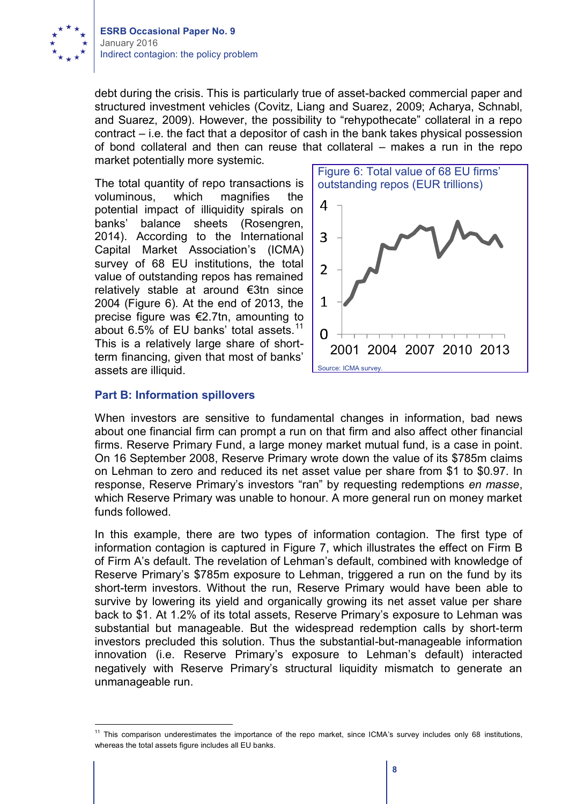

debt during the crisis. This is particularly true of asset-backed commercial paper and structured investment vehicles (Covitz, Liang and Suarez, 2009; Acharya, Schnabl, and Suarez, 2009). However, the possibility to "rehypothecate" collateral in a repo contract – i.e. the fact that a depositor of cash in the bank takes physical possession of bond collateral and then can reuse that collateral – makes a run in the repo market potentially more systemic.

The total quantity of repo transactions is voluminous, which magnifies the potential impact of illiquidity spirals on banks' balance sheets (Rosengren, 2014). According to the International Capital Market Association's (ICMA) survey of 68 EU institutions, the total value of outstanding repos has remained relatively stable at around €3tn since 2004 (Figure 6). At the end of 2013, the precise figure was €2.7tn, amounting to about 6.5% of EU banks' total assets.<sup>11</sup> This is a relatively large share of shortterm financing, given that most of banks' assets are illiquid.



#### **Part B: Information spillovers**

When investors are sensitive to fundamental changes in information, bad news about one financial firm can prompt a run on that firm and also affect other financial firms. Reserve Primary Fund, a large money market mutual fund, is a case in point. On 16 September 2008, Reserve Primary wrote down the value of its \$785m claims on Lehman to zero and reduced its net asset value per share from \$1 to \$0.97. In response, Reserve Primary's investors "ran" by requesting redemptions *en masse*, which Reserve Primary was unable to honour. A more general run on money market funds followed.

In this example, there are two types of information contagion. The first type of information contagion is captured in Figure 7, which illustrates the effect on Firm B of Firm A's default. The revelation of Lehman's default, combined with knowledge of Reserve Primary's \$785m exposure to Lehman, triggered a run on the fund by its short-term investors. Without the run, Reserve Primary would have been able to survive by lowering its yield and organically growing its net asset value per share back to \$1. At 1.2% of its total assets, Reserve Primary's exposure to Lehman was substantial but manageable. But the widespread redemption calls by short-term investors precluded this solution. Thus the substantial-but-manageable information innovation (i.e. Reserve Primary's exposure to Lehman's default) interacted negatively with Reserve Primary's structural liquidity mismatch to generate an unmanageable run.

<sup>&</sup>lt;sup>11</sup> This comparison underestimates the importance of the repo market, since ICMA's survey includes only 68 institutions, whereas the total assets figure includes all EU banks.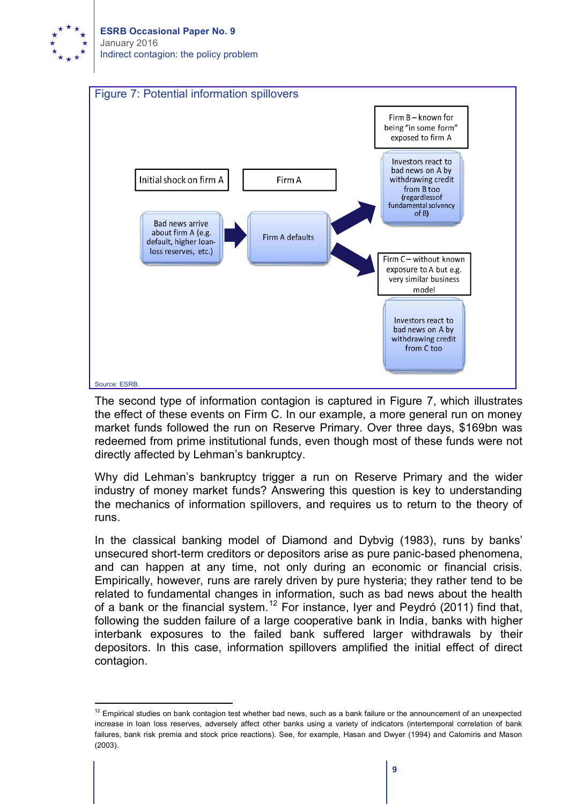



The second type of information contagion is captured in Figure 7, which illustrates the effect of these events on Firm C. In our example, a more general run on money market funds followed the run on Reserve Primary. Over three days, \$169bn was redeemed from prime institutional funds, even though most of these funds were not directly affected by Lehman's bankruptcy.

Why did Lehman's bankruptcy trigger a run on Reserve Primary and the wider industry of money market funds? Answering this question is key to understanding the mechanics of information spillovers, and requires us to return to the theory of runs.

In the classical banking model of Diamond and Dybvig (1983), runs by banks' unsecured short-term creditors or depositors arise as pure panic-based phenomena, and can happen at any time, not only during an economic or financial crisis. Empirically, however, runs are rarely driven by pure hysteria; they rather tend to be related to fundamental changes in information, such as bad news about the health of a bank or the financial system.<sup>12</sup> For instance, Iyer and Peydró (2011) find that, following the sudden failure of a large cooperative bank in India, banks with higher interbank exposures to the failed bank suffered larger withdrawals by their depositors. In this case, information spillovers amplified the initial effect of direct contagion.

 $12$  Empirical studies on bank contagion test whether bad news, such as a bank failure or the announcement of an unexpected increase in loan loss reserves, adversely affect other banks using a variety of indicators (intertemporal correlation of bank failures, bank risk premia and stock price reactions). See, for example, Hasan and Dwyer (1994) and Calomiris and Mason (2003).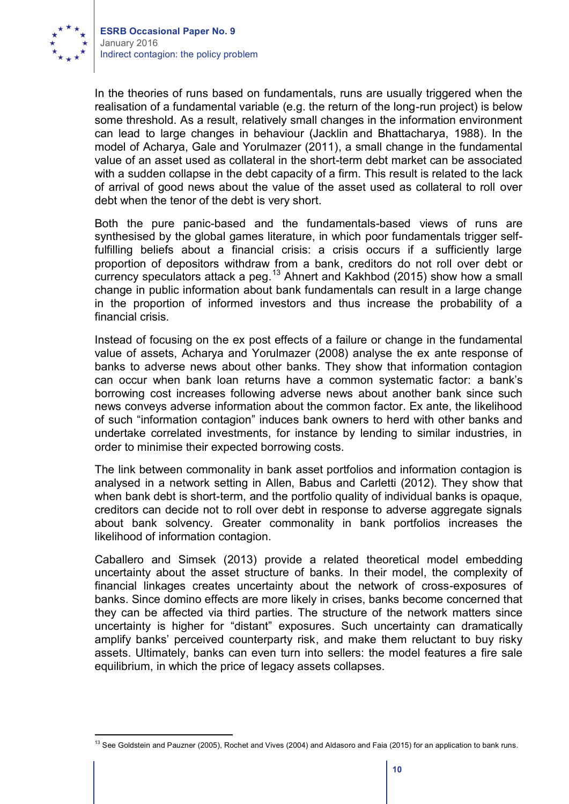

In the theories of runs based on fundamentals, runs are usually triggered when the realisation of a fundamental variable (e.g. the return of the long-run project) is below some threshold. As a result, relatively small changes in the information environment can lead to large changes in behaviour (Jacklin and Bhattacharya, 1988). In the model of Acharya, Gale and Yorulmazer (2011), a small change in the fundamental value of an asset used as collateral in the short-term debt market can be associated with a sudden collapse in the debt capacity of a firm. This result is related to the lack of arrival of good news about the value of the asset used as collateral to roll over debt when the tenor of the debt is very short.

Both the pure panic-based and the fundamentals-based views of runs are synthesised by the global games literature, in which poor fundamentals trigger selffulfilling beliefs about a financial crisis: a crisis occurs if a sufficiently large proportion of depositors withdraw from a bank, creditors do not roll over debt or currency speculators attack a peg.<sup>13</sup> Ahnert and Kakhbod (2015) show how a small change in public information about bank fundamentals can result in a large change in the proportion of informed investors and thus increase the probability of a financial crisis.

Instead of focusing on the ex post effects of a failure or change in the fundamental value of assets, Acharya and Yorulmazer (2008) analyse the ex ante response of banks to adverse news about other banks. They show that information contagion can occur when bank loan returns have a common systematic factor: a bank's borrowing cost increases following adverse news about another bank since such news conveys adverse information about the common factor. Ex ante, the likelihood of such "information contagion" induces bank owners to herd with other banks and undertake correlated investments, for instance by lending to similar industries, in order to minimise their expected borrowing costs.

The link between commonality in bank asset portfolios and information contagion is analysed in a network setting in Allen, Babus and Carletti (2012). They show that when bank debt is short-term, and the portfolio quality of individual banks is opaque, creditors can decide not to roll over debt in response to adverse aggregate signals about bank solvency. Greater commonality in bank portfolios increases the likelihood of information contagion.

Caballero and Simsek (2013) provide a related theoretical model embedding uncertainty about the asset structure of banks. In their model, the complexity of financial linkages creates uncertainty about the network of cross-exposures of banks. Since domino effects are more likely in crises, banks become concerned that they can be affected via third parties. The structure of the network matters since uncertainty is higher for "distant" exposures. Such uncertainty can dramatically amplify banks' perceived counterparty risk, and make them reluctant to buy risky assets. Ultimately, banks can even turn into sellers: the model features a fire sale equilibrium, in which the price of legacy assets collapses.

<sup>&</sup>lt;sup>13</sup> See Goldstein and Pauzner (2005), Rochet and Vives (2004) and Aldasoro and Faia (2015) for an application to bank runs.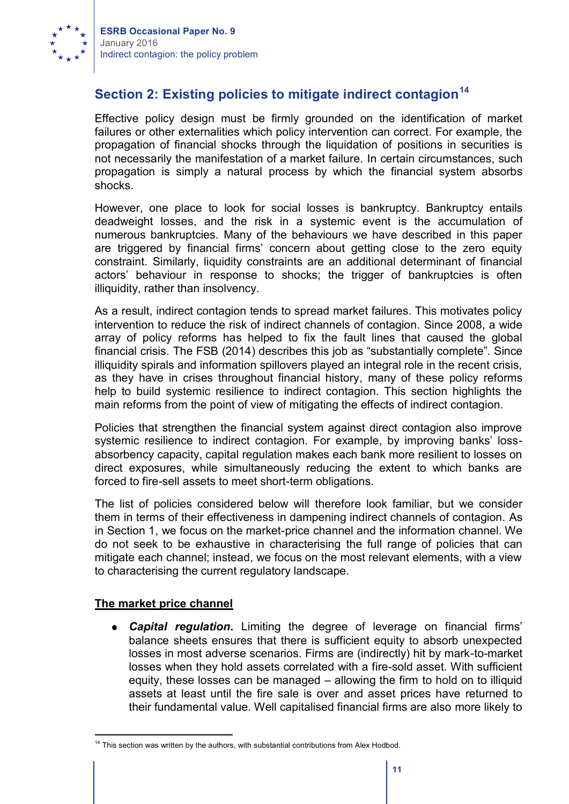

## **Section 2: Existing policies to mitigate indirect contagion<sup>14</sup>**

Effective policy design must be firmly grounded on the identification of market failures or other externalities which policy intervention can correct. For example, the propagation of financial shocks through the liquidation of positions in securities is not necessarily the manifestation of a market failure. In certain circumstances, such propagation is simply a natural process by which the financial system absorbs shocks.

However, one place to look for social losses is bankruptcy. Bankruptcy entails deadweight losses, and the risk in a systemic event is the accumulation of numerous bankruptcies. Many of the behaviours we have described in this paper are triggered by financial firms' concern about getting close to the zero equity constraint. Similarly, liquidity constraints are an additional determinant of financial actors' behaviour in response to shocks; the trigger of bankruptcies is often illiquidity, rather than insolvency.

As a result, indirect contagion tends to spread market failures. This motivates policy intervention to reduce the risk of indirect channels of contagion. Since 2008, a wide array of policy reforms has helped to fix the fault lines that caused the global financial crisis. The FSB (2014) describes this job as "substantially complete". Since illiquidity spirals and information spillovers played an integral role in the recent crisis, as they have in crises throughout financial history, many of these policy reforms help to build systemic resilience to indirect contagion. This section highlights the main reforms from the point of view of mitigating the effects of indirect contagion.

Policies that strengthen the financial system against direct contagion also improve systemic resilience to indirect contagion. For example, by improving banks' lossabsorbency capacity, capital regulation makes each bank more resilient to losses on direct exposures, while simultaneously reducing the extent to which banks are forced to fire-sell assets to meet short-term obligations.

The list of policies considered below will therefore look familiar, but we consider them in terms of their effectiveness in dampening indirect channels of contagion. As in Section 1, we focus on the market-price channel and the information channel. We do not seek to be exhaustive in characterising the full range of policies that can mitigate each channel; instead, we focus on the most relevant elements, with a view to characterising the current regulatory landscape.

### **The market price channel**

*Capital regulation***.** Limiting the degree of leverage on financial firms' balance sheets ensures that there is sufficient equity to absorb unexpected losses in most adverse scenarios. Firms are (indirectly) hit by mark-to-market losses when they hold assets correlated with a fire-sold asset. With sufficient equity, these losses can be managed – allowing the firm to hold on to illiquid assets at least until the fire sale is over and asset prices have returned to their fundamental value. Well capitalised financial firms are also more likely to

<sup>&</sup>lt;sup>14</sup> This section was written by the authors, with substantial contributions from Alex Hodbod.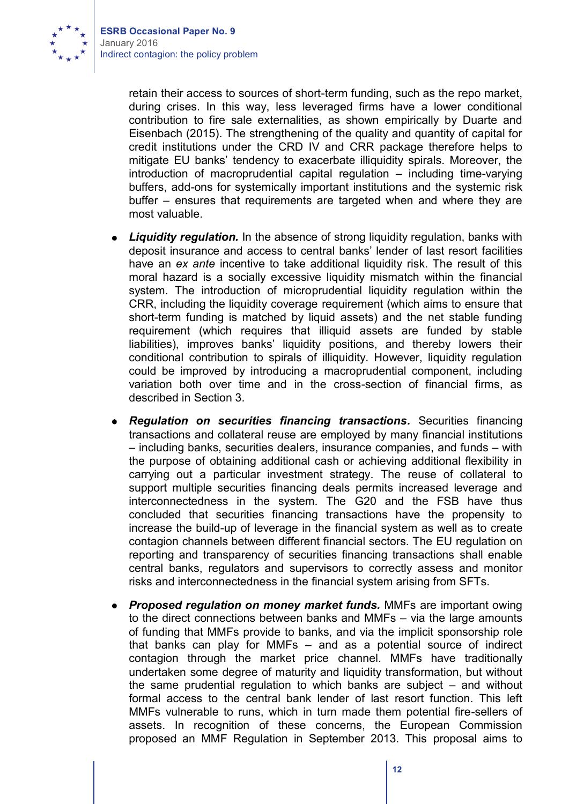

retain their access to sources of short-term funding, such as the repo market, during crises. In this way, less leveraged firms have a lower conditional contribution to fire sale externalities, as shown empirically by Duarte and Eisenbach (2015). The strengthening of the quality and quantity of capital for credit institutions under the CRD IV and CRR package therefore helps to mitigate EU banks' tendency to exacerbate illiquidity spirals. Moreover, the introduction of macroprudential capital regulation – including time-varying buffers, add-ons for systemically important institutions and the systemic risk buffer – ensures that requirements are targeted when and where they are most valuable.

- *Liquidity requlation.* In the absence of strong liquidity requlation, banks with deposit insurance and access to central banks' lender of last resort facilities have an *ex ante* incentive to take additional liquidity risk. The result of this moral hazard is a socially excessive liquidity mismatch within the financial system. The introduction of microprudential liquidity regulation within the CRR, including the liquidity coverage requirement (which aims to ensure that short-term funding is matched by liquid assets) and the net stable funding requirement (which requires that illiquid assets are funded by stable liabilities), improves banks' liquidity positions, and thereby lowers their conditional contribution to spirals of illiquidity. However, liquidity regulation could be improved by introducing a macroprudential component, including variation both over time and in the cross-section of financial firms, as described in Section 3.
- *Regulation on securities financing transactions.* Securities financing transactions and collateral reuse are employed by many financial institutions – including banks, securities dealers, insurance companies, and funds – with the purpose of obtaining additional cash or achieving additional flexibility in carrying out a particular investment strategy. The reuse of collateral to support multiple securities financing deals permits increased leverage and interconnectedness in the system. The G20 and the FSB have thus concluded that securities financing transactions have the propensity to increase the build-up of leverage in the financial system as well as to create contagion channels between different financial sectors. The EU regulation on reporting and transparency of securities financing transactions shall enable central banks, regulators and supervisors to correctly assess and monitor risks and interconnectedness in the financial system arising from SFTs.
- *Proposed regulation on money market funds.* MMFs are important owing to the direct connections between banks and MMFs – via the large amounts of funding that MMFs provide to banks, and via the implicit sponsorship role that banks can play for MMFs – and as a potential source of indirect contagion through the market price channel. MMFs have traditionally undertaken some degree of maturity and liquidity transformation, but without the same prudential regulation to which banks are subject – and without formal access to the central bank lender of last resort function. This left MMFs vulnerable to runs, which in turn made them potential fire-sellers of assets. In recognition of these concerns, the European Commission proposed an MMF Regulation in September 2013. This proposal aims to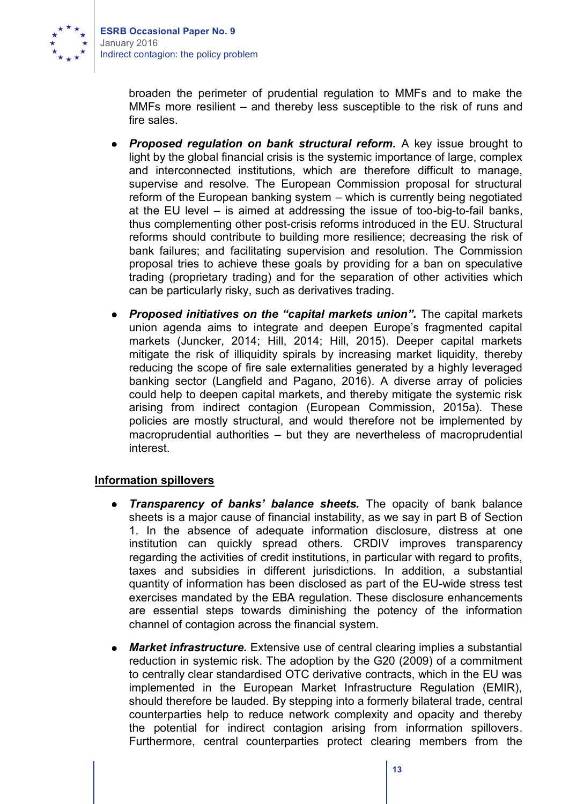

broaden the perimeter of prudential regulation to MMFs and to make the MMFs more resilient – and thereby less susceptible to the risk of runs and fire sales.

- *Proposed regulation on bank structural reform.* A key issue brought to light by the global financial crisis is the systemic importance of large, complex and interconnected institutions, which are therefore difficult to manage, supervise and resolve. The European Commission proposal for structural reform of the European banking system – which is currently being negotiated at the EU level – is aimed at addressing the issue of too-big-to-fail banks, thus complementing other post-crisis reforms introduced in the EU. Structural reforms should contribute to building more resilience; decreasing the risk of bank failures; and facilitating supervision and resolution. The Commission proposal tries to achieve these goals by providing for a ban on speculative trading (proprietary trading) and for the separation of other activities which can be particularly risky, such as derivatives trading.
- *Proposed initiatives on the "capital markets union".* The capital markets  $\bullet$ union agenda aims to integrate and deepen Europe's fragmented capital markets (Juncker, 2014; Hill, 2014; Hill, 2015). Deeper capital markets mitigate the risk of illiquidity spirals by increasing market liquidity, thereby reducing the scope of fire sale externalities generated by a highly leveraged banking sector (Langfield and Pagano, 2016). A diverse array of policies could help to deepen capital markets, and thereby mitigate the systemic risk arising from indirect contagion (European Commission, 2015a). These policies are mostly structural, and would therefore not be implemented by macroprudential authorities – but they are nevertheless of macroprudential interest.

#### **Information spillovers**

- *Transparency of banks' balance sheets.* The opacity of bank balance  $\bullet$ sheets is a major cause of financial instability, as we say in part B of Section 1. In the absence of adequate information disclosure, distress at one institution can quickly spread others. CRDIV improves transparency regarding the activities of credit institutions, in particular with regard to profits, taxes and subsidies in different jurisdictions. In addition, a substantial quantity of information has been disclosed as part of the EU-wide stress test exercises mandated by the EBA regulation. These disclosure enhancements are essential steps towards diminishing the potency of the information channel of contagion across the financial system.
- *Market infrastructure.* Extensive use of central clearing implies a substantial  $\bullet$ reduction in systemic risk. The adoption by the G20 (2009) of a commitment to centrally clear standardised OTC derivative contracts, which in the EU was implemented in the European Market Infrastructure Regulation (EMIR), should therefore be lauded. By stepping into a formerly bilateral trade, central counterparties help to reduce network complexity and opacity and thereby the potential for indirect contagion arising from information spillovers. Furthermore, central counterparties protect clearing members from the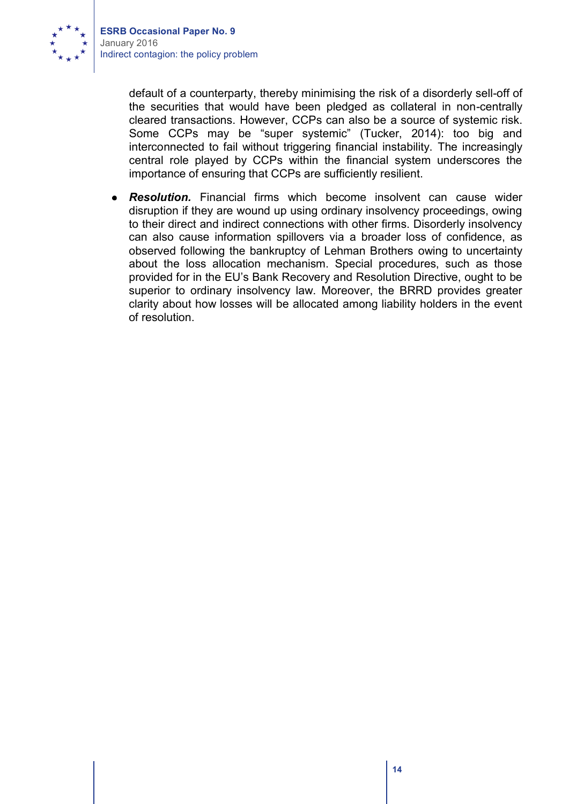

> default of a counterparty, thereby minimising the risk of a disorderly sell-off of the securities that would have been pledged as collateral in non-centrally cleared transactions. However, CCPs can also be a source of systemic risk. Some CCPs may be "super systemic" (Tucker, 2014): too big and interconnected to fail without triggering financial instability. The increasingly central role played by CCPs within the financial system underscores the importance of ensuring that CCPs are sufficiently resilient.

*Resolution.* Financial firms which become insolvent can cause wider  $\bullet$ disruption if they are wound up using ordinary insolvency proceedings, owing to their direct and indirect connections with other firms. Disorderly insolvency can also cause information spillovers via a broader loss of confidence, as observed following the bankruptcy of Lehman Brothers owing to uncertainty about the loss allocation mechanism. Special procedures, such as those provided for in the EU's Bank Recovery and Resolution Directive, ought to be superior to ordinary insolvency law. Moreover, the BRRD provides greater clarity about how losses will be allocated among liability holders in the event of resolution.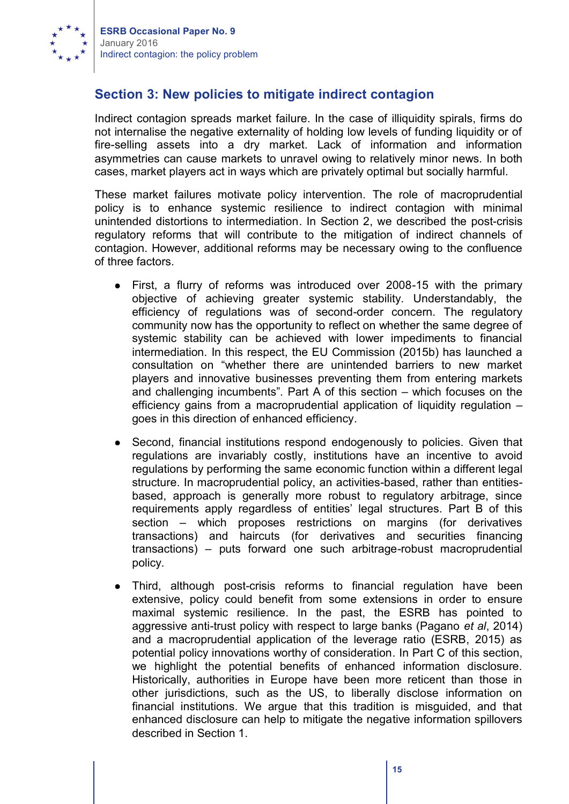

## **Section 3: New policies to mitigate indirect contagion**

Indirect contagion spreads market failure. In the case of illiquidity spirals, firms do not internalise the negative externality of holding low levels of funding liquidity or of fire-selling assets into a dry market. Lack of information and information asymmetries can cause markets to unravel owing to relatively minor news. In both cases, market players act in ways which are privately optimal but socially harmful.

These market failures motivate policy intervention. The role of macroprudential policy is to enhance systemic resilience to indirect contagion with minimal unintended distortions to intermediation. In Section 2, we described the post-crisis regulatory reforms that will contribute to the mitigation of indirect channels of contagion. However, additional reforms may be necessary owing to the confluence of three factors.

- First, a flurry of reforms was introduced over 2008-15 with the primary objective of achieving greater systemic stability. Understandably, the efficiency of regulations was of second-order concern. The regulatory community now has the opportunity to reflect on whether the same degree of systemic stability can be achieved with lower impediments to financial intermediation. In this respect, the EU Commission (2015b) has launched a consultation on "whether there are unintended barriers to new market players and innovative businesses preventing them from entering markets and challenging incumbents". Part A of this section – which focuses on the efficiency gains from a macroprudential application of liquidity regulation – goes in this direction of enhanced efficiency.
- Second, financial institutions respond endogenously to policies. Given that regulations are invariably costly, institutions have an incentive to avoid regulations by performing the same economic function within a different legal structure. In macroprudential policy, an activities-based, rather than entitiesbased, approach is generally more robust to regulatory arbitrage, since requirements apply regardless of entities' legal structures. Part B of this section – which proposes restrictions on margins (for derivatives transactions) and haircuts (for derivatives and securities financing transactions) – puts forward one such arbitrage-robust macroprudential policy.
- Third, although post-crisis reforms to financial regulation have been extensive, policy could benefit from some extensions in order to ensure maximal systemic resilience. In the past, the ESRB has pointed to aggressive anti-trust policy with respect to large banks (Pagano *et al*, 2014) and a macroprudential application of the leverage ratio (ESRB, 2015) as potential policy innovations worthy of consideration. In Part C of this section, we highlight the potential benefits of enhanced information disclosure. Historically, authorities in Europe have been more reticent than those in other jurisdictions, such as the US, to liberally disclose information on financial institutions. We argue that this tradition is misguided, and that enhanced disclosure can help to mitigate the negative information spillovers described in Section 1.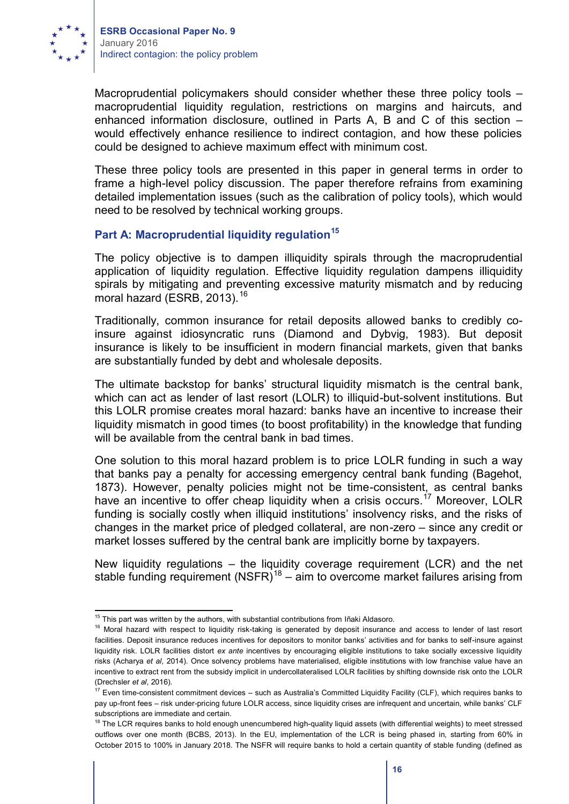

Macroprudential policymakers should consider whether these three policy tools – macroprudential liquidity regulation, restrictions on margins and haircuts, and enhanced information disclosure, outlined in Parts A, B and C of this section – would effectively enhance resilience to indirect contagion, and how these policies could be designed to achieve maximum effect with minimum cost.

These three policy tools are presented in this paper in general terms in order to frame a high-level policy discussion. The paper therefore refrains from examining detailed implementation issues (such as the calibration of policy tools), which would need to be resolved by technical working groups.

#### **Part A: Macroprudential liquidity regulation<sup>15</sup>**

The policy objective is to dampen illiquidity spirals through the macroprudential application of liquidity regulation. Effective liquidity regulation dampens illiquidity spirals by mitigating and preventing excessive maturity mismatch and by reducing moral hazard (ESRB, 2013).<sup>16</sup>

Traditionally, common insurance for retail deposits allowed banks to credibly coinsure against idiosyncratic runs (Diamond and Dybvig, 1983). But deposit insurance is likely to be insufficient in modern financial markets, given that banks are substantially funded by debt and wholesale deposits.

The ultimate backstop for banks' structural liquidity mismatch is the central bank, which can act as lender of last resort (LOLR) to illiquid-but-solvent institutions. But this LOLR promise creates moral hazard: banks have an incentive to increase their liquidity mismatch in good times (to boost profitability) in the knowledge that funding will be available from the central bank in bad times.

One solution to this moral hazard problem is to price LOLR funding in such a way that banks pay a penalty for accessing emergency central bank funding (Bagehot, 1873). However, penalty policies might not be time-consistent, as central banks have an incentive to offer cheap liquidity when a crisis occurs.<sup>17</sup> Moreover, LOLR funding is socially costly when illiquid institutions' insolvency risks, and the risks of changes in the market price of pledged collateral, are non-zero – since any credit or market losses suffered by the central bank are implicitly borne by taxpayers.

New liquidity regulations – the liquidity coverage requirement (LCR) and the net stable funding requirement (NSFR)<sup>18</sup> – aim to overcome market failures arising from

 $15$  This part was written by the authors, with substantial contributions from Iñaki Aldasoro.

<sup>&</sup>lt;sup>16</sup> Moral hazard with respect to liquidity risk-taking is generated by deposit insurance and access to lender of last resort facilities. Deposit insurance reduces incentives for depositors to monitor banks' activities and for banks to self-insure against liquidity risk. LOLR facilities distort *ex ante* incentives by encouraging eligible institutions to take socially excessive liquidity risks (Acharya *et al*, 2014). Once solvency problems have materialised, eligible institutions with low franchise value have an incentive to extract rent from the subsidy implicit in undercollateralised LOLR facilities by shifting downside risk onto the LOLR (Drechsler *et al*, 2016).

 $17$  Even time-consistent commitment devices – such as Australia's Committed Liquidity Facility (CLF), which requires banks to pay up-front fees – risk under-pricing future LOLR access, since liquidity crises are infrequent and uncertain, while banks' CLF subscriptions are immediate and certain.

<sup>&</sup>lt;sup>18</sup> The LCR requires banks to hold enough unencumbered high-quality liquid assets (with differential weights) to meet stressed outflows over one month (BCBS, 2013). In the EU, implementation of the LCR is being phased in, starting from 60% in October 2015 to 100% in January 2018. The NSFR will require banks to hold a certain quantity of stable funding (defined as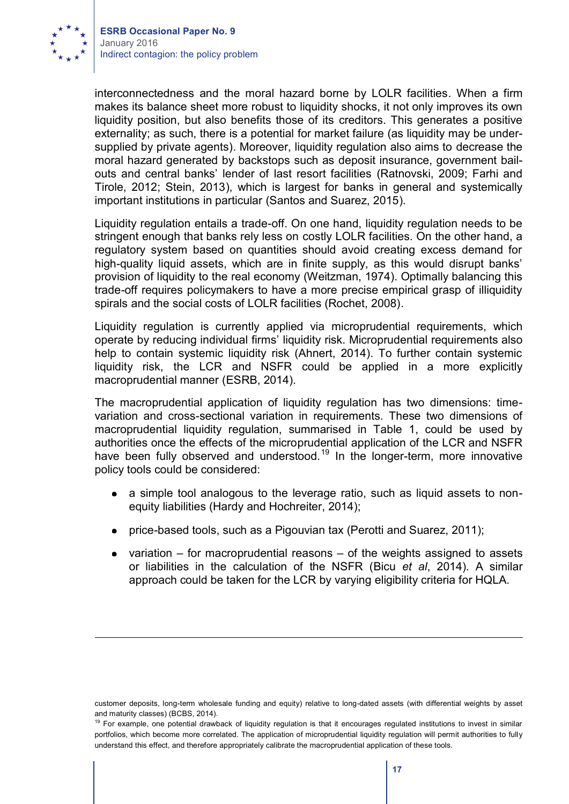

interconnectedness and the moral hazard borne by LOLR facilities. When a firm makes its balance sheet more robust to liquidity shocks, it not only improves its own liquidity position, but also benefits those of its creditors. This generates a positive externality; as such, there is a potential for market failure (as liquidity may be undersupplied by private agents). Moreover, liquidity regulation also aims to decrease the moral hazard generated by backstops such as deposit insurance, government bailouts and central banks' lender of last resort facilities (Ratnovski, 2009; Farhi and Tirole, 2012; Stein, 2013), which is largest for banks in general and systemically important institutions in particular (Santos and Suarez, 2015).

Liquidity regulation entails a trade-off. On one hand, liquidity regulation needs to be stringent enough that banks rely less on costly LOLR facilities. On the other hand, a regulatory system based on quantities should avoid creating excess demand for high-quality liquid assets, which are in finite supply, as this would disrupt banks' provision of liquidity to the real economy (Weitzman, 1974). Optimally balancing this trade-off requires policymakers to have a more precise empirical grasp of illiquidity spirals and the social costs of LOLR facilities (Rochet, 2008).

Liquidity regulation is currently applied via microprudential requirements, which operate by reducing individual firms' liquidity risk. Microprudential requirements also help to contain systemic liquidity risk (Ahnert, 2014). To further contain systemic liquidity risk, the LCR and NSFR could be applied in a more explicitly macroprudential manner (ESRB, 2014).

The macroprudential application of liquidity regulation has two dimensions: timevariation and cross-sectional variation in requirements. These two dimensions of macroprudential liquidity regulation, summarised in Table 1, could be used by authorities once the effects of the microprudential application of the LCR and NSFR have been fully observed and understood.<sup>19</sup> In the longer-term, more innovative policy tools could be considered:

- a simple tool analogous to the leverage ratio, such as liquid assets to nonequity liabilities (Hardy and Hochreiter, 2014);
- price-based tools, such as a Pigouvian tax (Perotti and Suarez, 2011);  $\bullet$
- variation for macroprudential reasons of the weights assigned to assets or liabilities in the calculation of the NSFR (Bicu *et al*, 2014). A similar approach could be taken for the LCR by varying eligibility criteria for HQLA.

customer deposits, long-term wholesale funding and equity) relative to long-dated assets (with differential weights by asset and maturity classes) (BCBS, 2014).

<sup>&</sup>lt;sup>19</sup> For example, one potential drawback of liquidity regulation is that it encourages regulated institutions to invest in similar portfolios, which become more correlated. The application of microprudential liquidity regulation will permit authorities to fully understand this effect, and therefore appropriately calibrate the macroprudential application of these tools.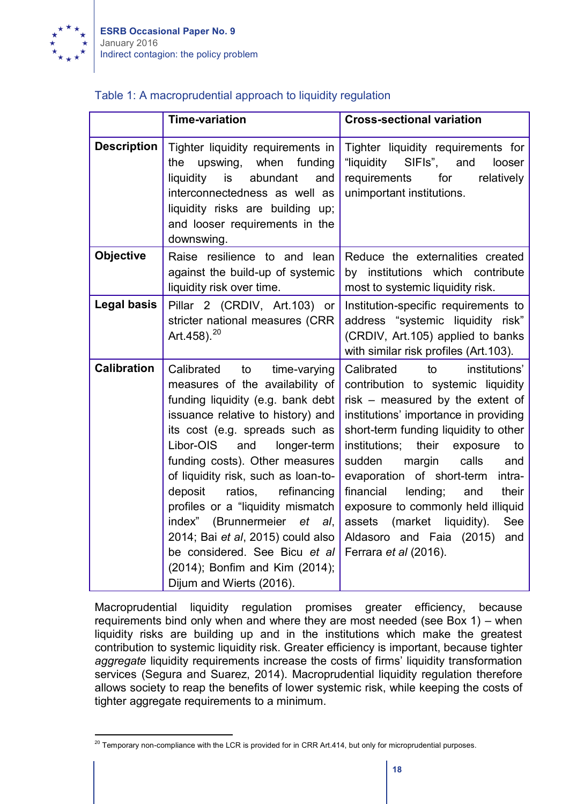

#### Table 1: A macroprudential approach to liquidity regulation

|                    | <b>Time-variation</b>                                                                                                                                                                                                                                                                                                                                                                                                                                                                                                                    | <b>Cross-sectional variation</b>                                                                                                                                                                                                                                                                                                                                                                                                                                                                        |
|--------------------|------------------------------------------------------------------------------------------------------------------------------------------------------------------------------------------------------------------------------------------------------------------------------------------------------------------------------------------------------------------------------------------------------------------------------------------------------------------------------------------------------------------------------------------|---------------------------------------------------------------------------------------------------------------------------------------------------------------------------------------------------------------------------------------------------------------------------------------------------------------------------------------------------------------------------------------------------------------------------------------------------------------------------------------------------------|
| <b>Description</b> | Tighter liquidity requirements in<br>the<br>upswing,<br>when funding<br>liquidity<br>abundant<br>is<br>and<br>interconnectedness as well as<br>liquidity risks are building up;<br>and looser requirements in the<br>downswing.                                                                                                                                                                                                                                                                                                          | Tighter liquidity requirements for<br>"liquidity SIFIs", and<br>looser<br>relatively<br>requirements<br>for<br>unimportant institutions.                                                                                                                                                                                                                                                                                                                                                                |
| <b>Objective</b>   | Raise resilience to and lean<br>against the build-up of systemic<br>liquidity risk over time.                                                                                                                                                                                                                                                                                                                                                                                                                                            | Reduce the externalities created<br>by institutions which contribute<br>most to systemic liquidity risk.                                                                                                                                                                                                                                                                                                                                                                                                |
| <b>Legal basis</b> | Pillar 2 (CRDIV, Art.103) or<br>stricter national measures (CRR<br>Art.458). <sup>20</sup>                                                                                                                                                                                                                                                                                                                                                                                                                                               | Institution-specific requirements to<br>address "systemic liquidity risk"<br>(CRDIV, Art.105) applied to banks<br>with similar risk profiles (Art.103).                                                                                                                                                                                                                                                                                                                                                 |
| <b>Calibration</b> | Calibrated<br>to<br>time-varying<br>measures of the availability of<br>funding liquidity (e.g. bank debt<br>issuance relative to history) and<br>its cost (e.g. spreads such as<br>Libor-OIS<br>and<br>longer-term<br>funding costs). Other measures<br>of liquidity risk, such as loan-to-<br>deposit<br>ratios,<br>refinancing<br>profiles or a "liquidity mismatch<br>index" (Brunnermeier et al,<br>2014; Bai et al, 2015) could also<br>be considered. See Bicu et al<br>(2014); Bonfim and Kim (2014);<br>Dijum and Wierts (2016). | Calibrated<br>to<br>institutions'<br>contribution to systemic liquidity<br>risk – measured by the extent of<br>institutions' importance in providing<br>short-term funding liquidity to other<br>institutions;<br>their<br>exposure<br>to<br>sudden<br>margin<br>calls<br>and<br>evaporation of short-term<br>intra-<br>financial<br>lending;<br>and<br>their<br>exposure to commonly held illiquid<br>assets (market<br>liquidity).<br>See<br>Aldasoro and Faia (2015)<br>and<br>Ferrara et al (2016). |

Macroprudential liquidity regulation promises greater efficiency, because requirements bind only when and where they are most needed (see Box 1) – when liquidity risks are building up and in the institutions which make the greatest contribution to systemic liquidity risk. Greater efficiency is important, because tighter *aggregate* liquidity requirements increase the costs of firms' liquidity transformation services (Segura and Suarez, 2014). Macroprudential liquidity regulation therefore allows society to reap the benefits of lower systemic risk, while keeping the costs of tighter aggregate requirements to a minimum.

<sup>&</sup>lt;sup>20</sup> Temporary non-compliance with the LCR is provided for in CRR Art.414, but only for microprudential purposes.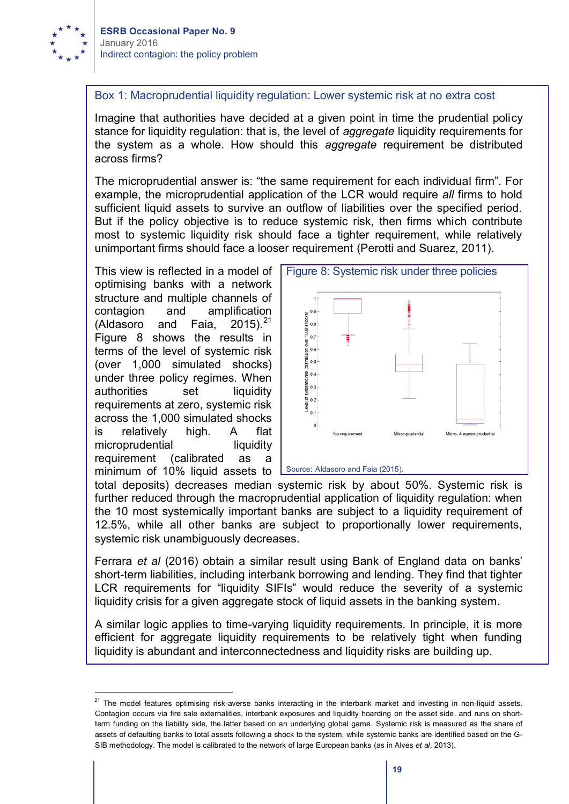

#### Box 1: Macroprudential liquidity regulation: Lower systemic risk at no extra cost

Imagine that authorities have decided at a given point in time the prudential policy stance for liquidity regulation: that is, the level of *aggregate* liquidity requirements for the system as a whole. How should this *aggregate* requirement be distributed across firms?

The microprudential answer is: "the same requirement for each individual firm". For example, the microprudential application of the LCR would require *all* firms to hold sufficient liquid assets to survive an outflow of liabilities over the specified period. But if the policy objective is to reduce systemic risk, then firms which contribute most to systemic liquidity risk should face a tighter requirement, while relatively unimportant firms should face a looser requirement (Perotti and Suarez, 2011).

optimising banks with a network structure and multiple channels of contagion and amplification (Aldasoro and Faia,  $2015$ ).<sup>21</sup> Figure 8 shows the results in terms of the level of systemic risk (over 1,000 simulated shocks) under three policy regimes. When authorities set liquidity requirements at zero, systemic risk across the 1,000 simulated shocks is relatively high. A flat microprudential liquidity requirement (calibrated as a minimum of 10% liquid assets to



Source: Aldasoro and Faia (2015).

total deposits) decreases median systemic risk by about 50%. Systemic risk is further reduced through the macroprudential application of liquidity regulation: when the 10 most systemically important banks are subject to a liquidity requirement of 12.5%, while all other banks are subject to proportionally lower requirements, systemic risk unambiguously decreases.

Ferrara *et al* (2016) obtain a similar result using Bank of England data on banks' short-term liabilities, including interbank borrowing and lending. They find that tighter LCR requirements for "liquidity SIFIs" would reduce the severity of a systemic liquidity crisis for a given aggregate stock of liquid assets in the banking system.

A similar logic applies to time-varying liquidity requirements. In principle, it is more efficient for aggregate liquidity requirements to be relatively tight when funding liquidity is abundant and interconnectedness and liquidity risks are building up.

<sup>&</sup>lt;sup>21</sup> The model features optimising risk-averse banks interacting in the interbank market and investing in non-liquid assets. Contagion occurs via fire sale externalities, interbank exposures and liquidity hoarding on the asset side, and runs on shortterm funding on the liability side, the latter based on an underlying global game. Systemic risk is measured as the share of assets of defaulting banks to total assets following a shock to the system, while systemic banks are identified based on the G-SIB methodology. The model is calibrated to the network of large European banks (as in Alves *et al*, 2013).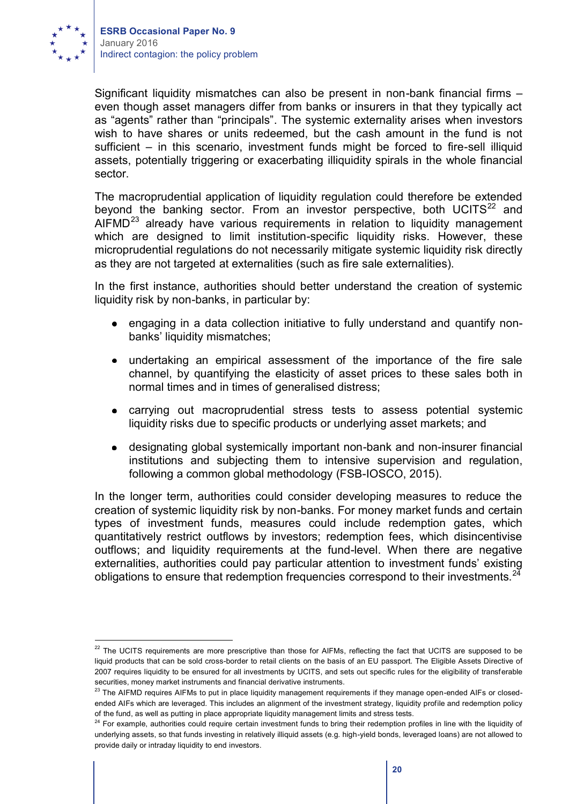

Significant liquidity mismatches can also be present in non-bank financial firms – even though asset managers differ from banks or insurers in that they typically act as "agents" rather than "principals". The systemic externality arises when investors wish to have shares or units redeemed, but the cash amount in the fund is not sufficient – in this scenario, investment funds might be forced to fire-sell illiquid assets, potentially triggering or exacerbating illiquidity spirals in the whole financial sector.

The macroprudential application of liquidity regulation could therefore be extended beyond the banking sector. From an investor perspective, both UCITS $^{22}$  and AIFMD<sup>23</sup> already have various requirements in relation to liquidity management which are designed to limit institution-specific liquidity risks. However, these microprudential regulations do not necessarily mitigate systemic liquidity risk directly as they are not targeted at externalities (such as fire sale externalities).

In the first instance, authorities should better understand the creation of systemic liquidity risk by non-banks, in particular by:

- engaging in a data collection initiative to fully understand and quantify nonbanks' liquidity mismatches;
- undertaking an empirical assessment of the importance of the fire sale channel, by quantifying the elasticity of asset prices to these sales both in normal times and in times of generalised distress;
- carrying out macroprudential stress tests to assess potential systemic liquidity risks due to specific products or underlying asset markets; and
- designating global systemically important non-bank and non-insurer financial institutions and subjecting them to intensive supervision and regulation, following a common global methodology (FSB-IOSCO, 2015).

In the longer term, authorities could consider developing measures to reduce the creation of systemic liquidity risk by non-banks. For money market funds and certain types of investment funds, measures could include redemption gates, which quantitatively restrict outflows by investors; redemption fees, which disincentivise outflows; and liquidity requirements at the fund-level. When there are negative externalities, authorities could pay particular attention to investment funds' existing obligations to ensure that redemption frequencies correspond to their investments.<sup>24</sup>

<sup>&</sup>lt;sup>22</sup> The UCITS requirements are more prescriptive than those for AIFMs, reflecting the fact that UCITS are supposed to be liquid products that can be sold cross-border to retail clients on the basis of an EU passport. The Eligible Assets Directive of 2007 requires liquidity to be ensured for all investments by UCITS, and sets out specific rules for the eligibility of transferable securities, money market instruments and financial derivative instruments.

<sup>&</sup>lt;sup>23</sup> The AIFMD requires AIFMs to put in place liquidity management requirements if they manage open-ended AIFs or closedended AIFs which are leveraged. This includes an alignment of the investment strategy, liquidity profile and redemption policy of the fund, as well as putting in place appropriate liquidity management limits and stress tests.

<sup>&</sup>lt;sup>24</sup> For example, authorities could require certain investment funds to bring their redemption profiles in line with the liquidity of underlying assets, so that funds investing in relatively illiquid assets (e.g. high-yield bonds, leveraged loans) are not allowed to provide daily or intraday liquidity to end investors.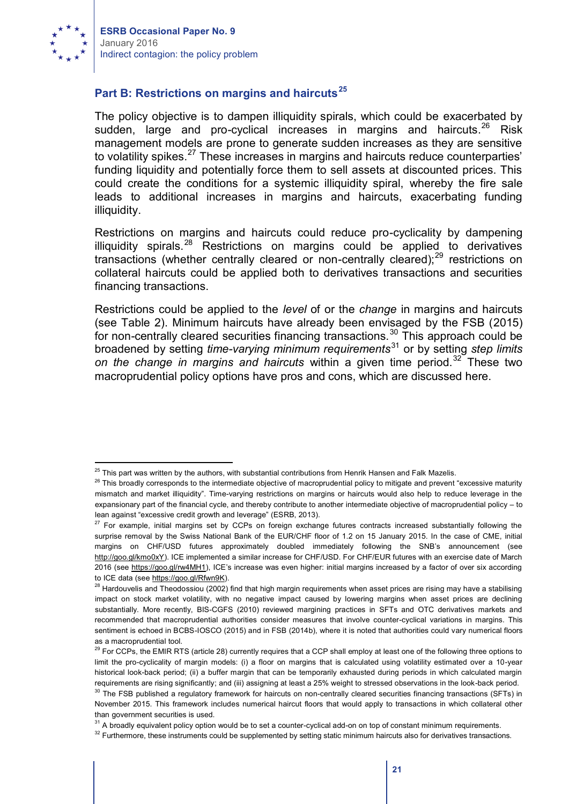

#### **Part B: Restrictions on margins and haircuts<sup>25</sup>**

The policy objective is to dampen illiquidity spirals, which could be exacerbated by sudden, large and pro-cyclical increases in margins and haircuts.<sup>26</sup> Risk management models are prone to generate sudden increases as they are sensitive to volatility spikes.<sup>27</sup> These increases in margins and haircuts reduce counterparties' funding liquidity and potentially force them to sell assets at discounted prices. This could create the conditions for a systemic illiquidity spiral, whereby the fire sale leads to additional increases in margins and haircuts, exacerbating funding illiquidity.

Restrictions on margins and haircuts could reduce pro-cyclicality by dampening illiquidity spirals.<sup>28</sup> Restrictions on margins could be applied to derivatives transactions (whether centrally cleared or non-centrally cleared); $^{29}$  restrictions on collateral haircuts could be applied both to derivatives transactions and securities financing transactions.

Restrictions could be applied to the *level* of or the *change* in margins and haircuts (see Table 2). Minimum haircuts have already been envisaged by the FSB (2015) for non-centrally cleared securities financing transactions.<sup>30</sup> This approach could be broadened by setting *time-varying minimum requirements*<sup>31</sup> or by setting *step limits*  on the change in margins and haircuts within a given time period.<sup>32</sup> These two macroprudential policy options have pros and cons, which are discussed here.

 $25$  This part was written by the authors, with substantial contributions from Henrik Hansen and Falk Mazelis.

<sup>&</sup>lt;sup>26</sup> This broadly corresponds to the intermediate objective of macroprudential policy to mitigate and prevent "excessive maturity mismatch and market illiquidity". Time-varying restrictions on margins or haircuts would also help to reduce leverage in the expansionary part of the financial cycle, and thereby contribute to another intermediate objective of macroprudential policy – to lean against "excessive credit growth and leverage" (ESRB, 2013).

 $27$  For example, initial margins set by CCPs on foreign exchange futures contracts increased substantially following the surprise removal by the Swiss National Bank of the EUR/CHF floor of 1.2 on 15 January 2015. In the case of CME, initial margins on CHF/USD futures approximately doubled immediately following the SNB's announcement (see http://goo.gl/kmo0xY). ICE implemented a similar increase for CHF/USD. For CHF/EUR futures with an exercise date of March 2016 (see https://goo.gl/rw4MH1), ICE's increase was even higher: initial margins increased by a factor of over six according to ICE data (see https://goo.gl/Rfwn9K).

<sup>&</sup>lt;sup>28</sup> Hardouvelis and Theodossiou (2002) find that high margin requirements when asset prices are rising may have a stabilising impact on stock market volatility, with no negative impact caused by lowering margins when asset prices are declining substantially. More recently, BIS-CGFS (2010) reviewed margining practices in SFTs and OTC derivatives markets and recommended that macroprudential authorities consider measures that involve counter-cyclical variations in margins. This sentiment is echoed in BCBS-IOSCO (2015) and in FSB (2014b), where it is noted that authorities could vary numerical floors as a macroprudential tool.

 $29$  For CCPs, the EMIR RTS (article 28) currently requires that a CCP shall employ at least one of the following three options to limit the pro-cyclicality of margin models: (i) a floor on margins that is calculated using volatility estimated over a 10-year historical look-back period; (ii) a buffer margin that can be temporarily exhausted during periods in which calculated margin requirements are rising significantly; and (iii) assigning at least a 25% weight to stressed observations in the look-back period.

<sup>&</sup>lt;sup>30</sup> The FSB published a regulatory framework for haircuts on non-centrally cleared securities financing transactions (SFTs) in November 2015. This framework includes numerical haircut floors that would apply to transactions in which collateral other than government securities is used.

<sup>&</sup>lt;sup>31</sup> A broadly equivalent policy option would be to set a counter-cyclical add-on on top of constant minimum requirements.

<sup>&</sup>lt;sup>32</sup> Furthermore, these instruments could be supplemented by setting static minimum haircuts also for derivatives transactions.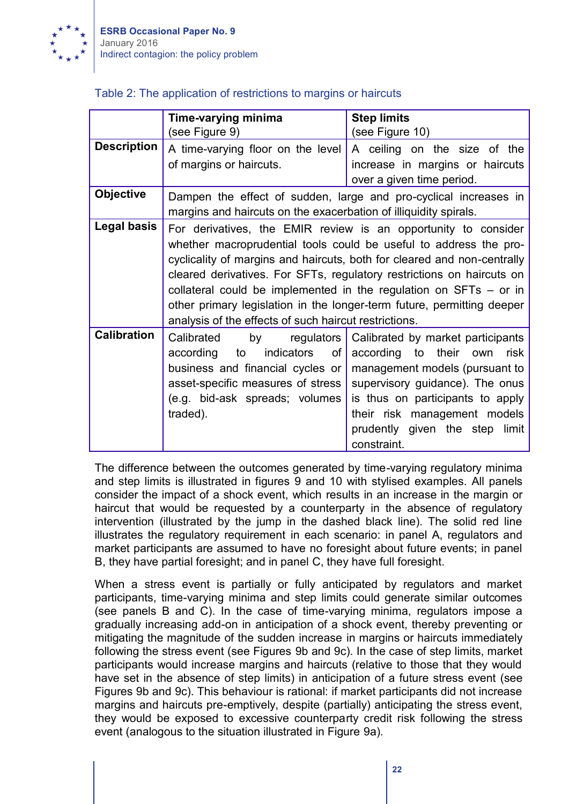

### Table 2: The application of restrictions to margins or haircuts

|                                                                         | <b>Step limits</b>                                                                                                                                                                                                      |  |
|-------------------------------------------------------------------------|-------------------------------------------------------------------------------------------------------------------------------------------------------------------------------------------------------------------------|--|
|                                                                         |                                                                                                                                                                                                                         |  |
|                                                                         | (see Figure 10)                                                                                                                                                                                                         |  |
| A time-varying floor on the level                                       | A ceiling on the size of the                                                                                                                                                                                            |  |
|                                                                         | increase in margins or haircuts                                                                                                                                                                                         |  |
|                                                                         | over a given time period.                                                                                                                                                                                               |  |
| Dampen the effect of sudden, large and pro-cyclical increases in        |                                                                                                                                                                                                                         |  |
| margins and haircuts on the exacerbation of illiquidity spirals.        |                                                                                                                                                                                                                         |  |
| For derivatives, the EMIR review is an opportunity to consider          |                                                                                                                                                                                                                         |  |
| whether macroprudential tools could be useful to address the pro-       |                                                                                                                                                                                                                         |  |
| cyclicality of margins and haircuts, both for cleared and non-centrally |                                                                                                                                                                                                                         |  |
| cleared derivatives. For SFTs, regulatory restrictions on haircuts on   |                                                                                                                                                                                                                         |  |
| collateral could be implemented in the regulation on $SFTs - or in$     |                                                                                                                                                                                                                         |  |
| other primary legislation in the longer-term future, permitting deeper  |                                                                                                                                                                                                                         |  |
| analysis of the effects of such haircut restrictions.                   |                                                                                                                                                                                                                         |  |
|                                                                         | Calibrated by market participants                                                                                                                                                                                       |  |
|                                                                         | according to their own<br>risk                                                                                                                                                                                          |  |
|                                                                         |                                                                                                                                                                                                                         |  |
|                                                                         | management models (pursuant to                                                                                                                                                                                          |  |
|                                                                         | supervisory guidance). The onus                                                                                                                                                                                         |  |
| (e.g. bid-ask spreads; volumes                                          | is thus on participants to apply                                                                                                                                                                                        |  |
| traded).                                                                | their risk management models                                                                                                                                                                                            |  |
|                                                                         | prudently given the step limit                                                                                                                                                                                          |  |
|                                                                         | constraint.                                                                                                                                                                                                             |  |
|                                                                         | Time-varying minima<br>(see Figure 9)<br>of margins or haircuts.<br>by<br>regulators $\vert$<br>Calibrated<br>indicators of<br>according<br>to<br>business and financial cycles or<br>asset-specific measures of stress |  |

The difference between the outcomes generated by time-varying regulatory minima and step limits is illustrated in figures 9 and 10 with stylised examples. All panels consider the impact of a shock event, which results in an increase in the margin or haircut that would be requested by a counterparty in the absence of regulatory intervention (illustrated by the jump in the dashed black line). The solid red line illustrates the regulatory requirement in each scenario: in panel A, regulators and market participants are assumed to have no foresight about future events; in panel B, they have partial foresight; and in panel C, they have full foresight.

When a stress event is partially or fully anticipated by regulators and market participants, time-varying minima and step limits could generate similar outcomes (see panels B and C). In the case of time-varying minima, regulators impose a gradually increasing add-on in anticipation of a shock event, thereby preventing or mitigating the magnitude of the sudden increase in margins or haircuts immediately following the stress event (see Figures 9b and 9c). In the case of step limits, market participants would increase margins and haircuts (relative to those that they would have set in the absence of step limits) in anticipation of a future stress event (see Figures 9b and 9c). This behaviour is rational: if market participants did not increase margins and haircuts pre-emptively, despite (partially) anticipating the stress event, they would be exposed to excessive counterparty credit risk following the stress event (analogous to the situation illustrated in Figure 9a).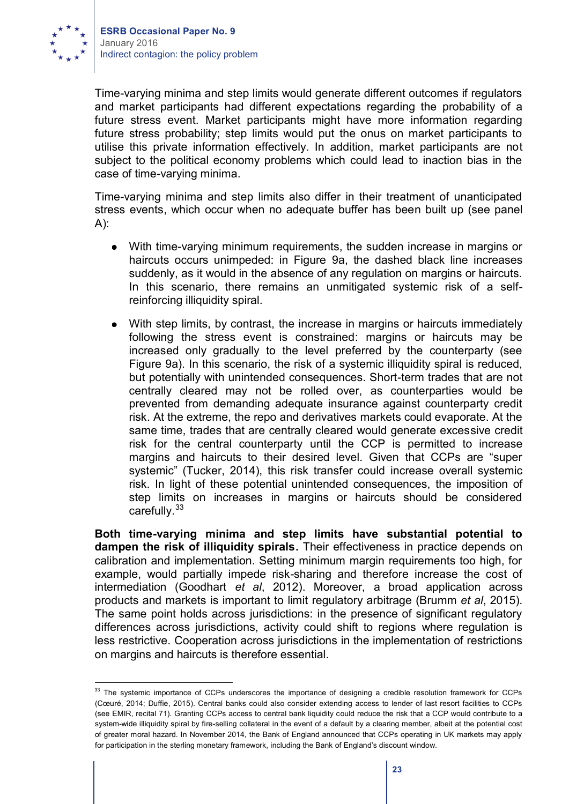

Time-varying minima and step limits would generate different outcomes if regulators and market participants had different expectations regarding the probability of a future stress event. Market participants might have more information regarding future stress probability; step limits would put the onus on market participants to utilise this private information effectively. In addition, market participants are not subject to the political economy problems which could lead to inaction bias in the case of time-varying minima.

Time-varying minima and step limits also differ in their treatment of unanticipated stress events, which occur when no adequate buffer has been built up (see panel A):

- With time-varying minimum requirements, the sudden increase in margins or haircuts occurs unimpeded: in Figure 9a, the dashed black line increases suddenly, as it would in the absence of any regulation on margins or haircuts. In this scenario, there remains an unmitigated systemic risk of a selfreinforcing illiquidity spiral.
- With step limits, by contrast, the increase in margins or haircuts immediately following the stress event is constrained: margins or haircuts may be increased only gradually to the level preferred by the counterparty (see Figure 9a). In this scenario, the risk of a systemic illiquidity spiral is reduced, but potentially with unintended consequences. Short-term trades that are not centrally cleared may not be rolled over, as counterparties would be prevented from demanding adequate insurance against counterparty credit risk. At the extreme, the repo and derivatives markets could evaporate. At the same time, trades that are centrally cleared would generate excessive credit risk for the central counterparty until the CCP is permitted to increase margins and haircuts to their desired level. Given that CCPs are "super systemic" (Tucker, 2014), this risk transfer could increase overall systemic risk. In light of these potential unintended consequences, the imposition of step limits on increases in margins or haircuts should be considered carefully.<sup>33</sup>

**Both time-varying minima and step limits have substantial potential to dampen the risk of illiquidity spirals.** Their effectiveness in practice depends on calibration and implementation. Setting minimum margin requirements too high, for example, would partially impede risk-sharing and therefore increase the cost of intermediation (Goodhart *et al*, 2012). Moreover, a broad application across products and markets is important to limit regulatory arbitrage (Brumm *et al*, 2015). The same point holds across jurisdictions: in the presence of significant regulatory differences across jurisdictions, activity could shift to regions where regulation is less restrictive. Cooperation across jurisdictions in the implementation of restrictions on margins and haircuts is therefore essential.

<sup>&</sup>lt;sup>33</sup> The systemic importance of CCPs underscores the importance of designing a credible resolution framework for CCPs (Cœuré, 2014; Duffie, 2015). Central banks could also consider extending access to lender of last resort facilities to CCPs (see EMIR, recital 71). Granting CCPs access to central bank liquidity could reduce the risk that a CCP would contribute to a system-wide illiquidity spiral by fire-selling collateral in the event of a default by a clearing member, albeit at the potential cost of greater moral hazard. In November 2014, the Bank of England announced that CCPs operating in UK markets may apply for participation in the sterling monetary framework, including the Bank of England's discount window.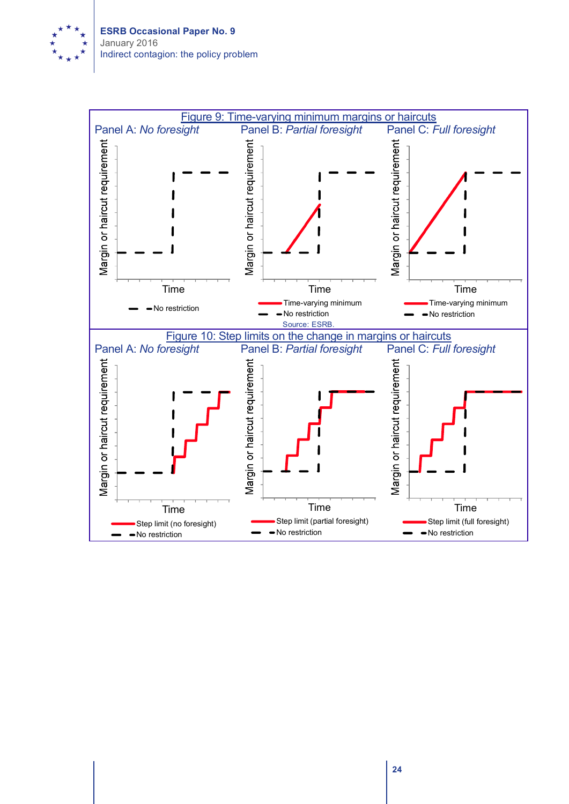

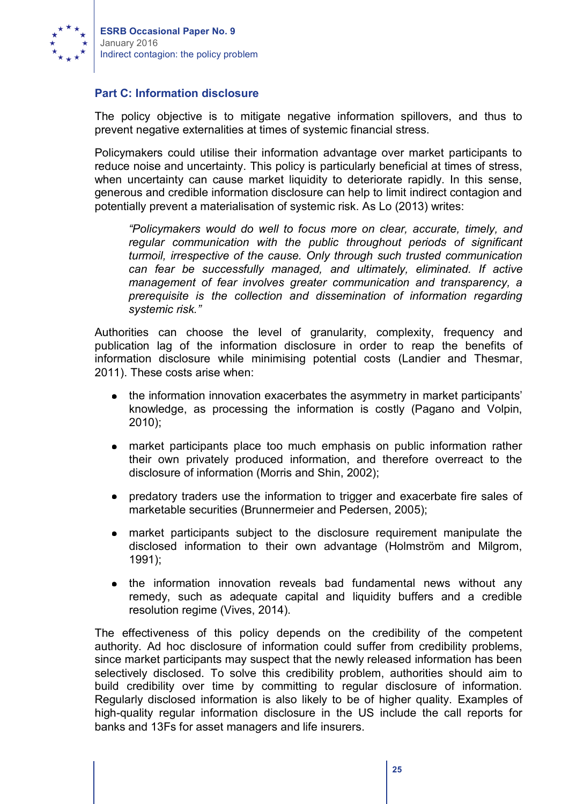

#### **Part C: Information disclosure**

The policy objective is to mitigate negative information spillovers, and thus to prevent negative externalities at times of systemic financial stress.

Policymakers could utilise their information advantage over market participants to reduce noise and uncertainty. This policy is particularly beneficial at times of stress, when uncertainty can cause market liquidity to deteriorate rapidly. In this sense, generous and credible information disclosure can help to limit indirect contagion and potentially prevent a materialisation of systemic risk. As Lo (2013) writes:

*"Policymakers would do well to focus more on clear, accurate, timely, and regular communication with the public throughout periods of significant turmoil, irrespective of the cause. Only through such trusted communication can fear be successfully managed, and ultimately, eliminated. If active management of fear involves greater communication and transparency, a prerequisite is the collection and dissemination of information regarding systemic risk."* 

Authorities can choose the level of granularity, complexity, frequency and publication lag of the information disclosure in order to reap the benefits of information disclosure while minimising potential costs (Landier and Thesmar, 2011). These costs arise when:

- the information innovation exacerbates the asymmetry in market participants' knowledge, as processing the information is costly (Pagano and Volpin, 2010);
- market participants place too much emphasis on public information rather their own privately produced information, and therefore overreact to the disclosure of information (Morris and Shin, 2002);
- predatory traders use the information to trigger and exacerbate fire sales of marketable securities (Brunnermeier and Pedersen, 2005);
- market participants subject to the disclosure requirement manipulate the  $\bullet$ disclosed information to their own advantage (Holmström and Milgrom, 1991);
- the information innovation reveals bad fundamental news without any remedy, such as adequate capital and liquidity buffers and a credible resolution regime (Vives, 2014).

The effectiveness of this policy depends on the credibility of the competent authority. Ad hoc disclosure of information could suffer from credibility problems, since market participants may suspect that the newly released information has been selectively disclosed. To solve this credibility problem, authorities should aim to build credibility over time by committing to regular disclosure of information. Regularly disclosed information is also likely to be of higher quality. Examples of high-quality regular information disclosure in the US include the call reports for banks and 13Fs for asset managers and life insurers.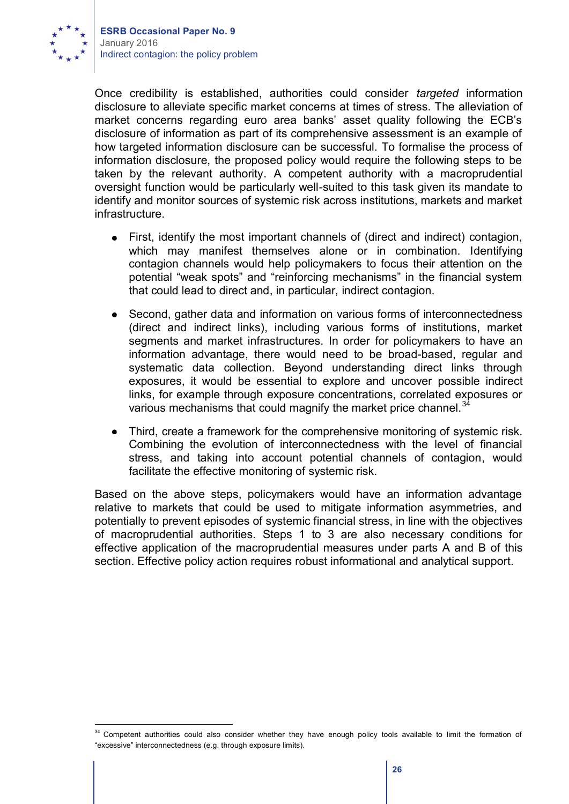

Once credibility is established, authorities could consider *targeted* information disclosure to alleviate specific market concerns at times of stress. The alleviation of market concerns regarding euro area banks' asset quality following the ECB's disclosure of information as part of its comprehensive assessment is an example of how targeted information disclosure can be successful. To formalise the process of information disclosure, the proposed policy would require the following steps to be taken by the relevant authority. A competent authority with a macroprudential oversight function would be particularly well-suited to this task given its mandate to identify and monitor sources of systemic risk across institutions, markets and market infrastructure.

- $\bullet$ First, identify the most important channels of (direct and indirect) contagion, which may manifest themselves alone or in combination. Identifying contagion channels would help policymakers to focus their attention on the potential "weak spots" and "reinforcing mechanisms" in the financial system that could lead to direct and, in particular, indirect contagion.
- Second, gather data and information on various forms of interconnectedness  $\bullet$ (direct and indirect links), including various forms of institutions, market segments and market infrastructures. In order for policymakers to have an information advantage, there would need to be broad-based, regular and systematic data collection. Beyond understanding direct links through exposures, it would be essential to explore and uncover possible indirect links, for example through exposure concentrations, correlated exposures or various mechanisms that could magnify the market price channel.  $34$
- Third, create a framework for the comprehensive monitoring of systemic risk. Combining the evolution of interconnectedness with the level of financial stress, and taking into account potential channels of contagion, would facilitate the effective monitoring of systemic risk.

Based on the above steps, policymakers would have an information advantage relative to markets that could be used to mitigate information asymmetries, and potentially to prevent episodes of systemic financial stress, in line with the objectives of macroprudential authorities. Steps 1 to 3 are also necessary conditions for effective application of the macroprudential measures under parts A and B of this section. Effective policy action requires robust informational and analytical support.

<sup>&</sup>lt;sup>34</sup> Competent authorities could also consider whether they have enough policy tools available to limit the formation of "excessive" interconnectedness (e.g. through exposure limits).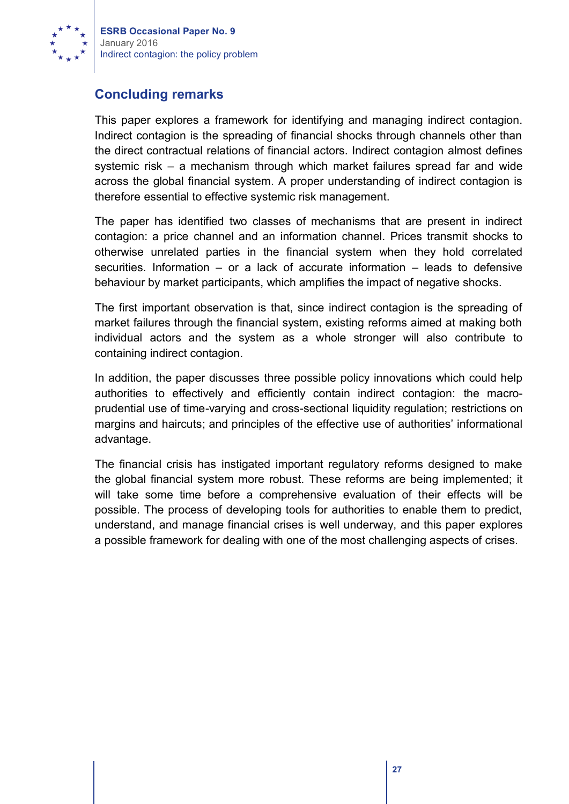

# **Concluding remarks**

This paper explores a framework for identifying and managing indirect contagion. Indirect contagion is the spreading of financial shocks through channels other than the direct contractual relations of financial actors. Indirect contagion almost defines systemic risk – a mechanism through which market failures spread far and wide across the global financial system. A proper understanding of indirect contagion is therefore essential to effective systemic risk management.

The paper has identified two classes of mechanisms that are present in indirect contagion: a price channel and an information channel. Prices transmit shocks to otherwise unrelated parties in the financial system when they hold correlated securities. Information – or a lack of accurate information – leads to defensive behaviour by market participants, which amplifies the impact of negative shocks.

The first important observation is that, since indirect contagion is the spreading of market failures through the financial system, existing reforms aimed at making both individual actors and the system as a whole stronger will also contribute to containing indirect contagion.

In addition, the paper discusses three possible policy innovations which could help authorities to effectively and efficiently contain indirect contagion: the macroprudential use of time-varying and cross-sectional liquidity regulation; restrictions on margins and haircuts; and principles of the effective use of authorities' informational advantage.

The financial crisis has instigated important regulatory reforms designed to make the global financial system more robust. These reforms are being implemented; it will take some time before a comprehensive evaluation of their effects will be possible. The process of developing tools for authorities to enable them to predict, understand, and manage financial crises is well underway, and this paper explores a possible framework for dealing with one of the most challenging aspects of crises.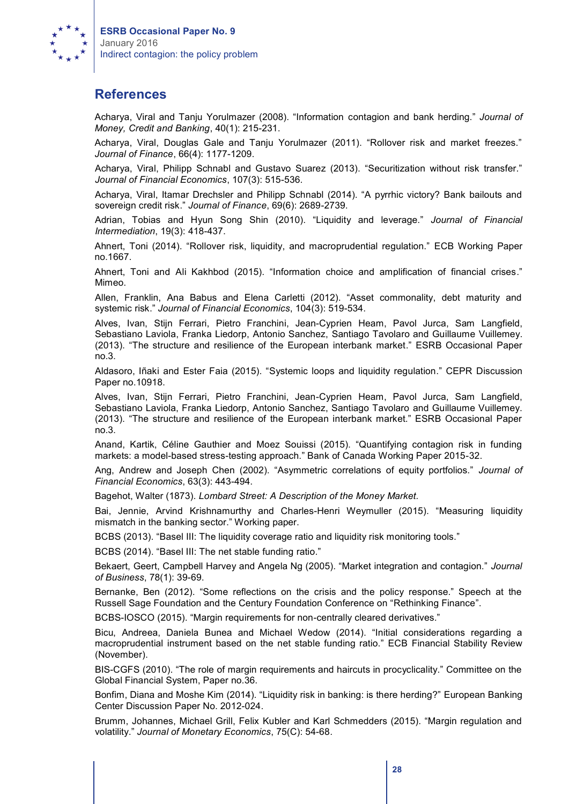

## **References**

Acharya, Viral and Tanju Yorulmazer (2008). "Information contagion and bank herding." *Journal of Money, Credit and Banking*, 40(1): 215-231.

Acharya, Viral, Douglas Gale and Tanju Yorulmazer (2011). "Rollover risk and market freezes." *Journal of Finance*, 66(4): 1177-1209.

Acharya, Viral, Philipp Schnabl and Gustavo Suarez (2013). "Securitization without risk transfer." *Journal of Financial Economics*, 107(3): 515-536.

Acharya, Viral, Itamar Drechsler and Philipp Schnabl (2014). "A pyrrhic victory? Bank bailouts and sovereign credit risk." *Journal of Finance*, 69(6): 2689-2739.

Adrian, Tobias and Hyun Song Shin (2010). "Liquidity and leverage." *Journal of Financial Intermediation*, 19(3): 418-437.

Ahnert, Toni (2014). "Rollover risk, liquidity, and macroprudential regulation." ECB Working Paper no.1667.

Ahnert, Toni and Ali Kakhbod (2015). "Information choice and amplification of financial crises." Mimeo.

Allen, Franklin, Ana Babus and Elena Carletti (2012). "Asset commonality, debt maturity and systemic risk." *Journal of Financial Economics*, 104(3): 519-534.

Alves, Ivan, Stijn Ferrari, Pietro Franchini, Jean-Cyprien Heam, Pavol Jurca, Sam Langfield, Sebastiano Laviola, Franka Liedorp, Antonio Sanchez, Santiago Tavolaro and Guillaume Vuillemey. (2013). "The structure and resilience of the European interbank market." ESRB Occasional Paper no.3.

Aldasoro, Iñaki and Ester Faia (2015). "Systemic loops and liquidity regulation." CEPR Discussion Paper no.10918.

Alves, Ivan, Stijn Ferrari, Pietro Franchini, Jean-Cyprien Heam, Pavol Jurca, Sam Langfield, Sebastiano Laviola, Franka Liedorp, Antonio Sanchez, Santiago Tavolaro and Guillaume Vuillemey. (2013). "The structure and resilience of the European interbank market." ESRB Occasional Paper no.3.

Anand, Kartik, Céline Gauthier and Moez Souissi (2015). "Quantifying contagion risk in funding markets: a model-based stress-testing approach." Bank of Canada Working Paper 2015-32.

Ang, Andrew and Joseph Chen (2002). "Asymmetric correlations of equity portfolios." *Journal of Financial Economics*, 63(3): 443-494.

Bagehot, Walter (1873). *Lombard Street: A Description of the Money Market.*

Bai, Jennie, Arvind Krishnamurthy and Charles-Henri Weymuller (2015). "Measuring liquidity mismatch in the banking sector." Working paper.

BCBS (2013). "Basel III: The liquidity coverage ratio and liquidity risk monitoring tools."

BCBS (2014). "Basel III: The net stable funding ratio."

Bekaert, Geert, Campbell Harvey and Angela Ng (2005). "Market integration and contagion." *Journal of Business*, 78(1): 39-69.

Bernanke, Ben (2012). "Some reflections on the crisis and the policy response." Speech at the Russell Sage Foundation and the Century Foundation Conference on "Rethinking Finance".

BCBS-IOSCO (2015). "Margin requirements for non-centrally cleared derivatives."

Bicu, Andreea, Daniela Bunea and Michael Wedow (2014). "Initial considerations regarding a macroprudential instrument based on the net stable funding ratio." ECB Financial Stability Review (November).

BIS-CGFS (2010). "The role of margin requirements and haircuts in procyclicality." Committee on the Global Financial System, Paper no.36.

Bonfim, Diana and Moshe Kim (2014). "Liquidity risk in banking: is there herding?" European Banking Center Discussion Paper No. 2012-024.

Brumm, Johannes, Michael Grill, Felix Kubler and Karl Schmedders (2015). "Margin regulation and volatility." *Journal of Monetary Economics*, 75(C): 54-68.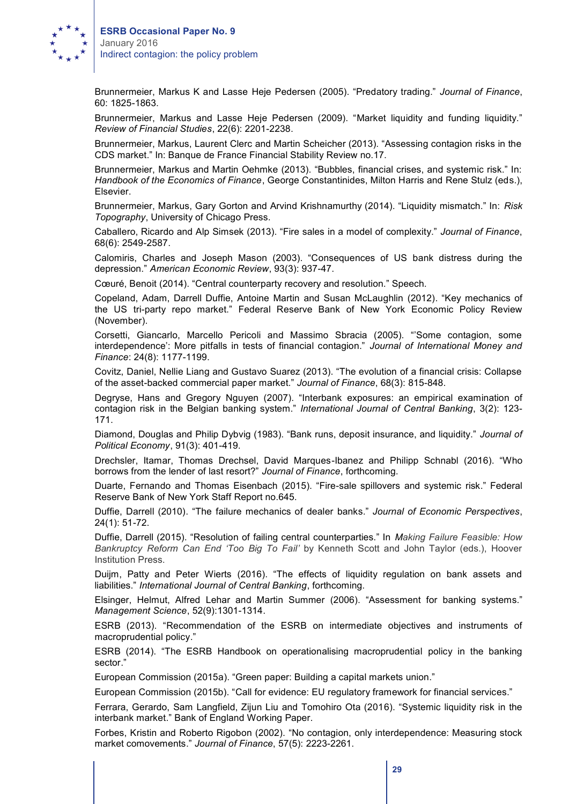

Brunnermeier, Markus K and Lasse Heje Pedersen (2005). "Predatory trading." *Journal of Finance*, 60: 1825-1863.

Brunnermeier, Markus and Lasse Heje Pedersen (2009). "Market liquidity and funding liquidity." *Review of Financial Studies*, 22(6): 2201-2238.

Brunnermeier, Markus, Laurent Clerc and Martin Scheicher (2013). "Assessing contagion risks in the CDS market." In: Banque de France Financial Stability Review no.17.

Brunnermeier, Markus and Martin Oehmke (2013). "Bubbles, financial crises, and systemic risk." In: *Handbook of the Economics of Finance*, George Constantinides, Milton Harris and Rene Stulz (eds.), Elsevier.

Brunnermeier, Markus, Gary Gorton and Arvind Krishnamurthy (2014). "Liquidity mismatch." In: *Risk Topography*, University of Chicago Press.

Caballero, Ricardo and Alp Simsek (2013). "Fire sales in a model of complexity." *Journal of Finance*, 68(6): 2549-2587.

Calomiris, Charles and Joseph Mason (2003). "Consequences of US bank distress during the depression." *American Economic Review*, 93(3): 937-47.

Cœuré, Benoit (2014). "Central counterparty recovery and resolution." Speech.

Copeland, Adam, Darrell Duffie, Antoine Martin and Susan McLaughlin (2012). "Key mechanics of the US tri-party repo market." Federal Reserve Bank of New York Economic Policy Review (November).

Corsetti, Giancarlo, Marcello Pericoli and Massimo Sbracia (2005). "'Some contagion, some interdependence': More pitfalls in tests of financial contagion." *Journal of International Money and Finance*: 24(8): 1177-1199.

Covitz, Daniel, Nellie Liang and Gustavo Suarez (2013). "The evolution of a financial crisis: Collapse of the asset-backed commercial paper market." *Journal of Finance*, 68(3): 815-848.

Degryse, Hans and Gregory Nguyen (2007). "Interbank exposures: an empirical examination of contagion risk in the Belgian banking system." *International Journal of Central Banking*, 3(2): 123- 171.

Diamond, Douglas and Philip Dybvig (1983). "Bank runs, deposit insurance, and liquidity." *Journal of Political Economy*, 91(3): 401-419.

Drechsler, Itamar, Thomas Drechsel, David Marques-Ibanez and Philipp Schnabl (2016). "Who borrows from the lender of last resort?" *Journal of Finance*, forthcoming.

Duarte, Fernando and Thomas Eisenbach (2015). "Fire-sale spillovers and systemic risk." Federal Reserve Bank of New York Staff Report no.645.

Duffie, Darrell (2010). "The failure mechanics of dealer banks." *Journal of Economic Perspectives*, 24(1): 51-72.

Duffie, Darrell (2015). "Resolution of failing central counterparties." In *Making Failure Feasible: How Bankruptcy Reform Can End 'Too Big To Fail'* by Kenneth Scott and John Taylor (eds.), Hoover Institution Press.

Duijm, Patty and Peter Wierts (2016). "The effects of liquidity regulation on bank assets and liabilities." *International Journal of Central Banking*, forthcoming.

Elsinger, Helmut, Alfred Lehar and Martin Summer (2006). "Assessment for banking systems." *Management Science*, 52(9):1301-1314.

ESRB (2013). "Recommendation of the ESRB on intermediate objectives and instruments of macroprudential policy."

ESRB (2014). "The ESRB Handbook on operationalising macroprudential policy in the banking sector."

European Commission (2015a). "Green paper: Building a capital markets union."

European Commission (2015b). "Call for evidence: EU regulatory framework for financial services."

Ferrara, Gerardo, Sam Langfield, Zijun Liu and Tomohiro Ota (2016). "Systemic liquidity risk in the interbank market." Bank of England Working Paper.

Forbes, Kristin and Roberto Rigobon (2002). "No contagion, only interdependence: Measuring stock market comovements." *Journal of Finance*, 57(5): 2223-2261.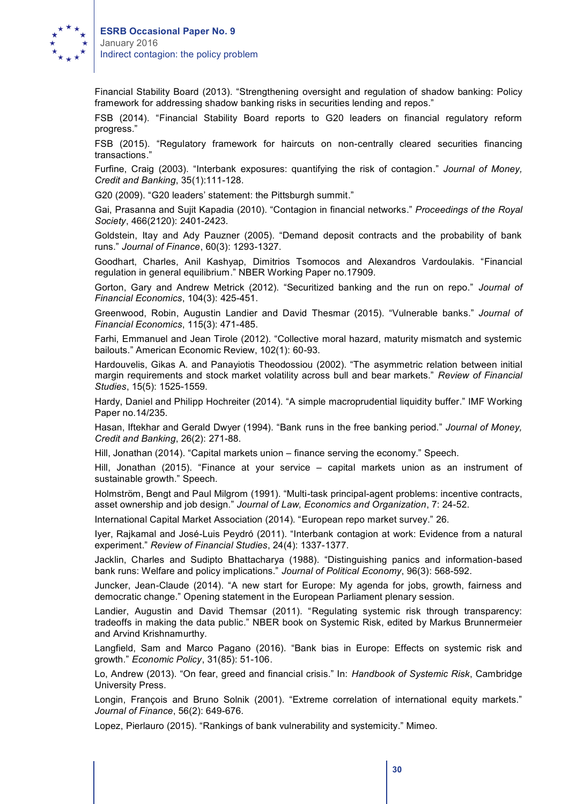

Financial Stability Board (2013). "Strengthening oversight and regulation of shadow banking: Policy framework for addressing shadow banking risks in securities lending and repos."

FSB (2014). "Financial Stability Board reports to G20 leaders on financial regulatory reform progress."

FSB (2015). "Regulatory framework for haircuts on non-centrally cleared securities financing transactions."

Furfine, Craig (2003). "Interbank exposures: quantifying the risk of contagion." *Journal of Money, Credit and Banking*, 35(1):111-128.

G20 (2009). "G20 leaders' statement: the Pittsburgh summit."

Gai, Prasanna and Sujit Kapadia (2010). "Contagion in financial networks." *Proceedings of the Royal Society*, 466(2120): 2401-2423.

Goldstein, Itay and Ady Pauzner (2005). "Demand deposit contracts and the probability of bank runs." *Journal of Finance*, 60(3): 1293-1327.

Goodhart, Charles, Anil Kashyap, Dimitrios Tsomocos and Alexandros Vardoulakis. "Financial regulation in general equilibrium." NBER Working Paper no.17909.

Gorton, Gary and Andrew Metrick (2012). "Securitized banking and the run on repo." *Journal of Financial Economics*, 104(3): 425-451.

Greenwood, Robin, Augustin Landier and David Thesmar (2015). "Vulnerable banks." *Journal of Financial Economics*, 115(3): 471-485.

Farhi, Emmanuel and Jean Tirole (2012). "Collective moral hazard, maturity mismatch and systemic bailouts." American Economic Review, 102(1): 60-93.

Hardouvelis, Gikas A. and Panayiotis Theodossiou (2002). "The asymmetric relation between initial margin requirements and stock market volatility across bull and bear markets." *Review of Financial Studies*, 15(5): 1525-1559.

Hardy, Daniel and Philipp Hochreiter (2014). "A simple macroprudential liquidity buffer." IMF Working Paper no.14/235.

Hasan, Iftekhar and Gerald Dwyer (1994). "Bank runs in the free banking period." *Journal of Money, Credit and Banking*, 26(2): 271-88.

Hill, Jonathan (2014). "Capital markets union – finance serving the economy." Speech.

Hill, Jonathan (2015). "Finance at your service – capital markets union as an instrument of sustainable growth." Speech.

Holmström, Bengt and Paul Milgrom (1991). "Multi-task principal-agent problems: incentive contracts, asset ownership and job design." *Journal of Law, Economics and Organization*, 7: 24-52.

International Capital Market Association (2014). "European repo market survey." 26.

Iyer, Rajkamal and José-Luis Peydró (2011). "Interbank contagion at work: Evidence from a natural experiment." *Review of Financial Studies*, 24(4): 1337-1377.

Jacklin, Charles and Sudipto Bhattacharya (1988). "Distinguishing panics and information-based bank runs: Welfare and policy implications." *Journal of Political Economy*, 96(3): 568-592.

Juncker, Jean-Claude (2014). "A new start for Europe: My agenda for jobs, growth, fairness and democratic change." Opening statement in the European Parliament plenary session.

Landier, Augustin and David Themsar (2011). "Regulating systemic risk through transparency: tradeoffs in making the data public." NBER book on Systemic Risk, edited by Markus Brunnermeier and Arvind Krishnamurthy.

Langfield, Sam and Marco Pagano (2016). "Bank bias in Europe: Effects on systemic risk and growth." *Economic Policy*, 31(85): 51-106.

Lo, Andrew (2013). "On fear, greed and financial crisis." In: *Handbook of Systemic Risk*, Cambridge University Press.

Longin, François and Bruno Solnik (2001). "Extreme correlation of international equity markets." *Journal of Finance*, 56(2): 649-676.

Lopez, Pierlauro (2015). "Rankings of bank vulnerability and systemicity." Mimeo.